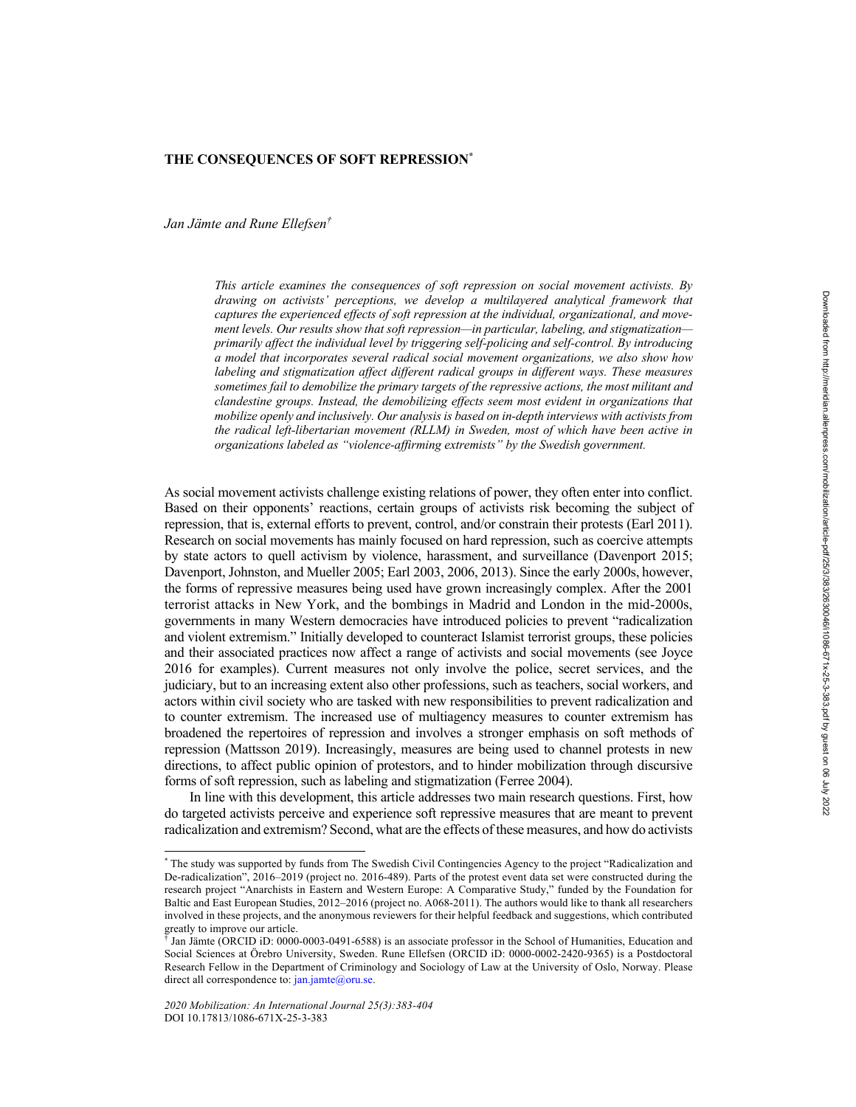## **THE CONSEQUENCES OF SOFT REPRESSION\***

*Jan Jämte and Rune Ellefsen†*

*This article examines the consequences of soft repression on social movement activists. By drawing on activists' perceptions, we develop a multilayered analytical framework that captures the experienced effects of soft repression at the individual, organizational, and movement levels. Our results show that soft repression—in particular, labeling, and stigmatization primarily affect the individual level by triggering self-policing and self-control. By introducing a model that incorporates several radical social movement organizations, we also show how labeling and stigmatization affect different radical groups in different ways. These measures sometimes fail to demobilize the primary targets of the repressive actions, the most militant and clandestine groups. Instead, the demobilizing effects seem most evident in organizations that mobilize openly and inclusively. Our analysis is based on in-depth interviews with activists from the radical left-libertarian movement (RLLM) in Sweden, most of which have been active in organizations labeled as "violence-affirming extremists" by the Swedish government.*

As social movement activists challenge existing relations of power, they often enter into conflict. Based on their opponents' reactions, certain groups of activists risk becoming the subject of repression, that is, external efforts to prevent, control, and/or constrain their protests (Earl 2011). Research on social movements has mainly focused on hard repression, such as coercive attempts by state actors to quell activism by violence, harassment, and surveillance (Davenport 2015; Davenport, Johnston, and Mueller 2005; Earl 2003, 2006, 2013). Since the early 2000s, however, the forms of repressive measures being used have grown increasingly complex. After the 2001 terrorist attacks in New York, and the bombings in Madrid and London in the mid-2000s, governments in many Western democracies have introduced policies to prevent "radicalization and violent extremism." Initially developed to counteract Islamist terrorist groups, these policies and their associated practices now affect a range of activists and social movements (see Joyce 2016 for examples). Current measures not only involve the police, secret services, and the judiciary, but to an increasing extent also other professions, such as teachers, social workers, and actors within civil society who are tasked with new responsibilities to prevent radicalization and to counter extremism. The increased use of multiagency measures to counter extremism has broadened the repertoires of repression and involves a stronger emphasis on soft methods of repression (Mattsson 2019). Increasingly, measures are being used to channel protests in new directions, to affect public opinion of protestors, and to hinder mobilization through discursive forms of soft repression, such as labeling and stigmatization (Ferree 2004).

In line with this development, this article addresses two main research questions. First, how do targeted activists perceive and experience soft repressive measures that are meant to prevent radicalization and extremism? Second, what are the effects of these measures, and how do activists

<sup>\*</sup> The study was supported by funds from The Swedish Civil Contingencies Agency to the project "Radicalization and De-radicalization", 2016–2019 (project no. 2016-489). Parts of the protest event data set were constructed during the research project "Anarchists in Eastern and Western Europe: A Comparative Study," funded by the Foundation for Baltic and East European Studies, 2012–2016 (project no. A068-2011). The authors would like to thank all researchers involved in these projects, and the anonymous reviewers for their helpful feedback and suggestions, which contributed greatly to improve our article.

 $\hat{\phi}$  Jan Jämte (ORCID iD: 0000-0003-0491-6588) is an associate professor in the School of Humanities, Education and Social Sciences at Örebro University, Sweden. Rune Ellefsen (ORCID iD: 0000-0002-2420-9365) is a Postdoctoral Research Fellow in the Department of Criminology and Sociology of Law at the University of Oslo, Norway. Please direct all correspondence to: jan.jamte@oru.se.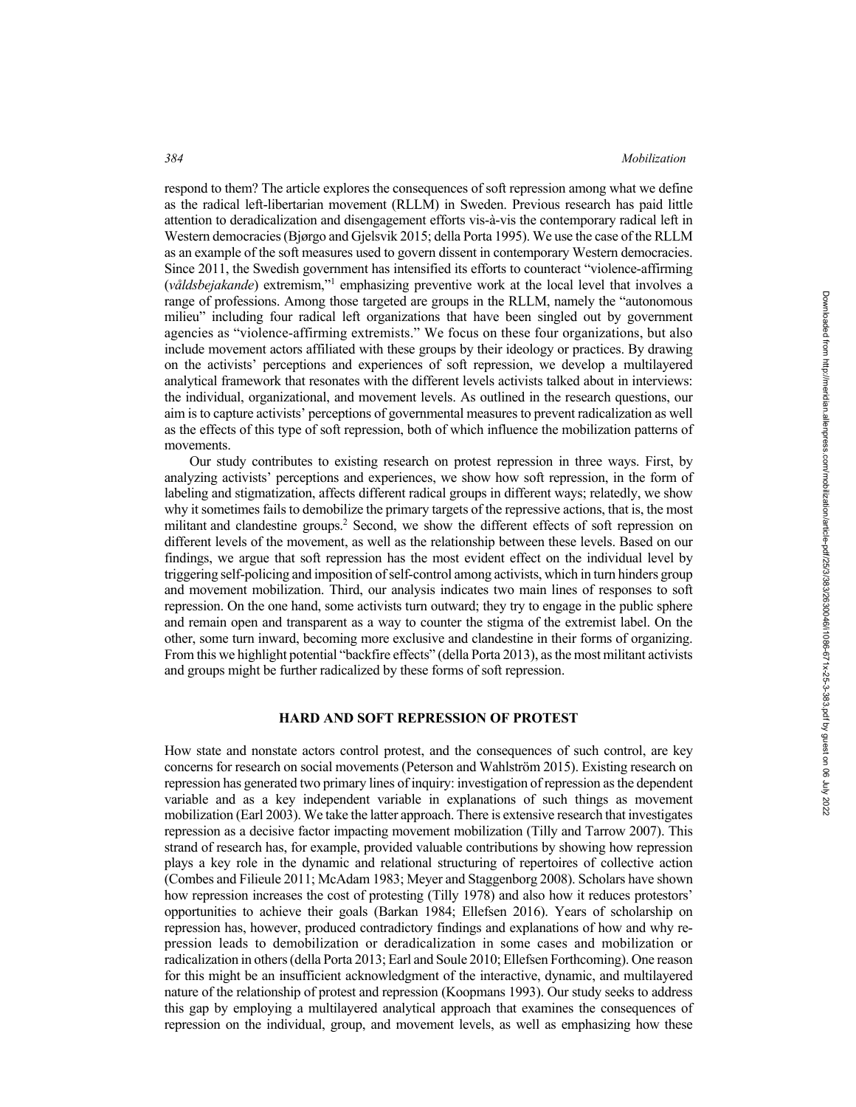respond to them? The article explores the consequences of soft repression among what we define as the radical left-libertarian movement (RLLM) in Sweden. Previous research has paid little attention to deradicalization and disengagement efforts vis-à-vis the contemporary radical left in Western democracies (Bjørgo and Gjelsvik 2015; della Porta 1995). We use the case of the RLLM as an example of the soft measures used to govern dissent in contemporary Western democracies. Since 2011, the Swedish government has intensified its efforts to counteract "violence-affirming (*våldsbejakande*) extremism,"1 emphasizing preventive work at the local level that involves a range of professions. Among those targeted are groups in the RLLM, namely the "autonomous milieu" including four radical left organizations that have been singled out by government agencies as "violence-affirming extremists." We focus on these four organizations, but also include movement actors affiliated with these groups by their ideology or practices. By drawing on the activists' perceptions and experiences of soft repression, we develop a multilayered analytical framework that resonates with the different levels activists talked about in interviews: the individual, organizational, and movement levels. As outlined in the research questions, our aim is to capture activists' perceptions of governmental measures to prevent radicalization as well as the effects of this type of soft repression, both of which influence the mobilization patterns of movements.

Our study contributes to existing research on protest repression in three ways. First, by analyzing activists' perceptions and experiences, we show how soft repression, in the form of labeling and stigmatization, affects different radical groups in different ways; relatedly, we show why it sometimes fails to demobilize the primary targets of the repressive actions, that is, the most militant and clandestine groups.<sup>2</sup> Second, we show the different effects of soft repression on different levels of the movement, as well as the relationship between these levels. Based on our findings, we argue that soft repression has the most evident effect on the individual level by triggering self-policing and imposition of self-control among activists, which in turn hinders group and movement mobilization. Third, our analysis indicates two main lines of responses to soft repression. On the one hand, some activists turn outward; they try to engage in the public sphere and remain open and transparent as a way to counter the stigma of the extremist label. On the other, some turn inward, becoming more exclusive and clandestine in their forms of organizing. From this we highlight potential "backfire effects" (della Porta 2013), as the most militant activists and groups might be further radicalized by these forms of soft repression.

## **HARD AND SOFT REPRESSION OF PROTEST**

How state and nonstate actors control protest, and the consequences of such control, are key concerns for research on social movements (Peterson and Wahlström 2015). Existing research on repression has generated two primary lines of inquiry: investigation of repression as the dependent variable and as a key independent variable in explanations of such things as movement mobilization (Earl 2003). We take the latter approach. There is extensive research that investigates repression as a decisive factor impacting movement mobilization (Tilly and Tarrow 2007). This strand of research has, for example, provided valuable contributions by showing how repression plays a key role in the dynamic and relational structuring of repertoires of collective action (Combes and Filieule 2011; McAdam 1983; Meyer and Staggenborg 2008). Scholars have shown how repression increases the cost of protesting (Tilly 1978) and also how it reduces protestors' opportunities to achieve their goals (Barkan 1984; Ellefsen 2016). Years of scholarship on repression has, however, produced contradictory findings and explanations of how and why repression leads to demobilization or deradicalization in some cases and mobilization or radicalization in others (della Porta 2013; Earl and Soule 2010; Ellefsen Forthcoming). One reason for this might be an insufficient acknowledgment of the interactive, dynamic, and multilayered nature of the relationship of protest and repression (Koopmans 1993). Our study seeks to address this gap by employing a multilayered analytical approach that examines the consequences of repression on the individual, group, and movement levels, as well as emphasizing how these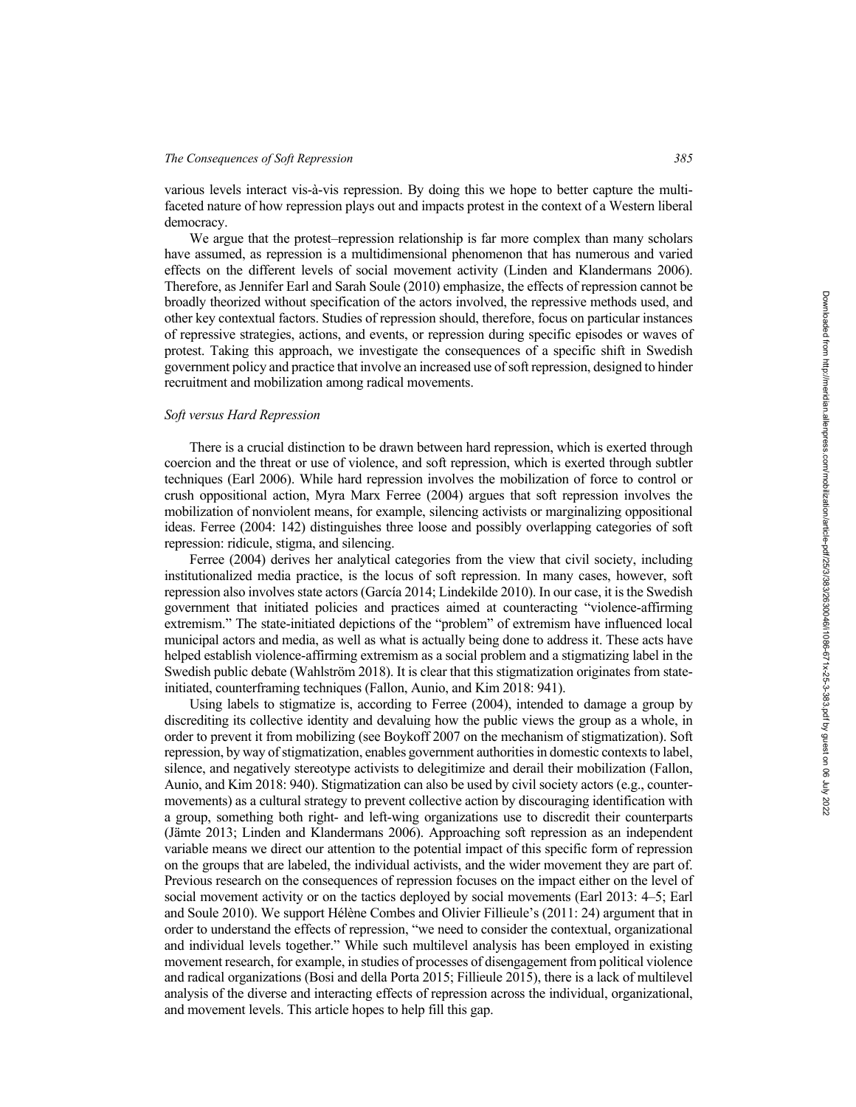#### *The Consequences of Soft Repression 385*

various levels interact vis-à-vis repression. By doing this we hope to better capture the multifaceted nature of how repression plays out and impacts protest in the context of a Western liberal democracy.

We argue that the protest–repression relationship is far more complex than many scholars have assumed, as repression is a multidimensional phenomenon that has numerous and varied effects on the different levels of social movement activity (Linden and Klandermans 2006). Therefore, as Jennifer Earl and Sarah Soule (2010) emphasize, the effects of repression cannot be broadly theorized without specification of the actors involved, the repressive methods used, and other key contextual factors. Studies of repression should, therefore, focus on particular instances of repressive strategies, actions, and events, or repression during specific episodes or waves of protest. Taking this approach, we investigate the consequences of a specific shift in Swedish government policy and practice that involve an increased use of soft repression, designed to hinder recruitment and mobilization among radical movements.

# *Soft versus Hard Repression*

There is a crucial distinction to be drawn between hard repression, which is exerted through coercion and the threat or use of violence, and soft repression, which is exerted through subtler techniques (Earl 2006). While hard repression involves the mobilization of force to control or crush oppositional action, Myra Marx Ferree (2004) argues that soft repression involves the mobilization of nonviolent means, for example, silencing activists or marginalizing oppositional ideas. Ferree (2004: 142) distinguishes three loose and possibly overlapping categories of soft repression: ridicule, stigma, and silencing.

Ferree (2004) derives her analytical categories from the view that civil society, including institutionalized media practice, is the locus of soft repression. In many cases, however, soft repression also involves state actors (García 2014; Lindekilde 2010). In our case, it is the Swedish government that initiated policies and practices aimed at counteracting "violence-affirming extremism." The state-initiated depictions of the "problem" of extremism have influenced local municipal actors and media, as well as what is actually being done to address it. These acts have helped establish violence-affirming extremism as a social problem and a stigmatizing label in the Swedish public debate (Wahlström 2018). It is clear that this stigmatization originates from stateinitiated, counterframing techniques (Fallon, Aunio, and Kim 2018: 941).

Using labels to stigmatize is, according to Ferree (2004), intended to damage a group by discrediting its collective identity and devaluing how the public views the group as a whole, in order to prevent it from mobilizing (see Boykoff 2007 on the mechanism of stigmatization). Soft repression, by way of stigmatization, enables government authorities in domestic contexts to label, silence, and negatively stereotype activists to delegitimize and derail their mobilization (Fallon, Aunio, and Kim 2018: 940). Stigmatization can also be used by civil society actors (e.g., countermovements) as a cultural strategy to prevent collective action by discouraging identification with a group, something both right- and left-wing organizations use to discredit their counterparts (Jämte 2013; Linden and Klandermans 2006). Approaching soft repression as an independent variable means we direct our attention to the potential impact of this specific form of repression on the groups that are labeled, the individual activists, and the wider movement they are part of. Previous research on the consequences of repression focuses on the impact either on the level of social movement activity or on the tactics deployed by social movements (Earl 2013: 4–5; Earl and Soule 2010). We support Hélène Combes and Olivier Fillieule's (2011: 24) argument that in order to understand the effects of repression, "we need to consider the contextual, organizational and individual levels together." While such multilevel analysis has been employed in existing movement research, for example, in studies of processes of disengagement from political violence and radical organizations (Bosi and della Porta 2015; Fillieule 2015), there is a lack of multilevel analysis of the diverse and interacting effects of repression across the individual, organizational, and movement levels. This article hopes to help fill this gap.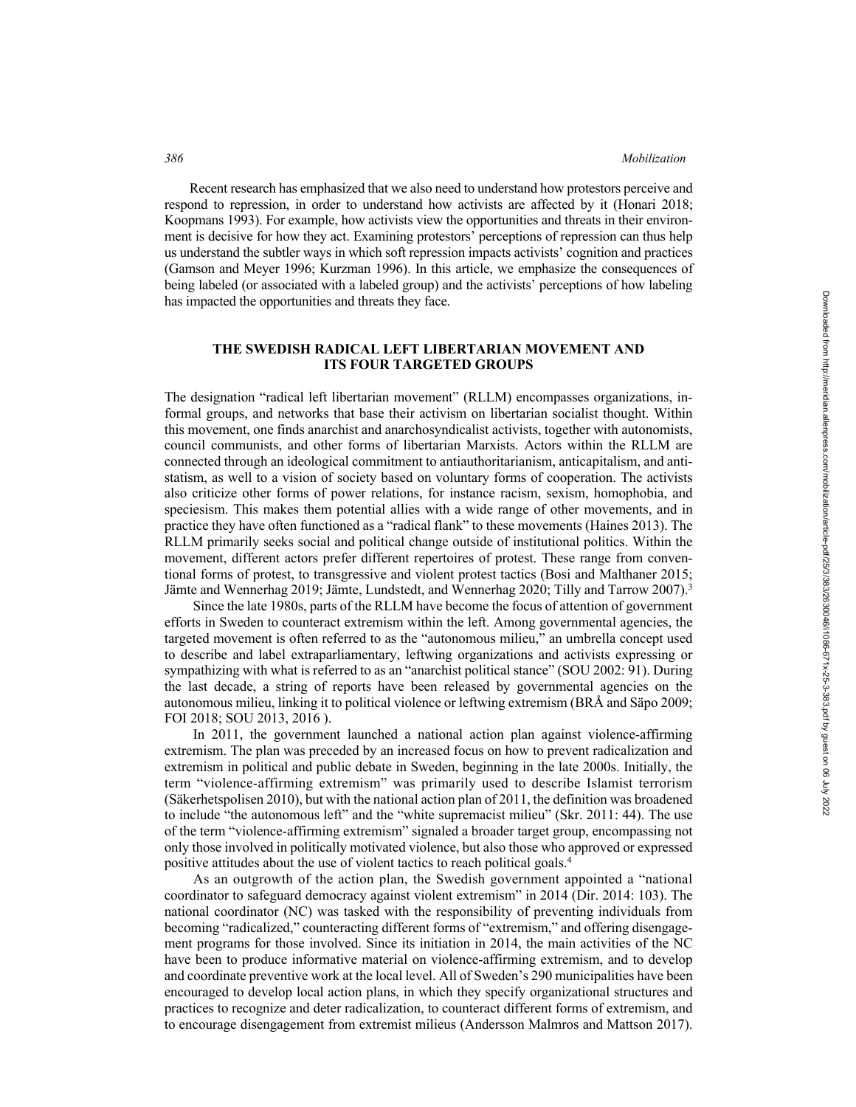Recent research has emphasized that we also need to understand how protestors perceive and respond to repression, in order to understand how activists are affected by it (Honari 2018; Koopmans 1993). For example, how activists view the opportunities and threats in their environment is decisive for how they act. Examining protestors' perceptions of repression can thus help us understand the subtler ways in which soft repression impacts activists' cognition and practices (Gamson and Meyer 1996; Kurzman 1996). In this article, we emphasize the consequences of being labeled (or associated with a labeled group) and the activists' perceptions of how labeling has impacted the opportunities and threats they face.

# **THE SWEDISH RADICAL LEFT LIBERTARIAN MOVEMENT AND ITS FOUR TARGETED GROUPS**

The designation "radical left libertarian movement" (RLLM) encompasses organizations, informal groups, and networks that base their activism on libertarian socialist thought. Within this movement, one finds anarchist and anarchosyndicalist activists, together with autonomists, council communists, and other forms of libertarian Marxists. Actors within the RLLM are connected through an ideological commitment to antiauthoritarianism, anticapitalism, and antistatism, as well to a vision of society based on voluntary forms of cooperation. The activists also criticize other forms of power relations, for instance racism, sexism, homophobia, and speciesism. This makes them potential allies with a wide range of other movements, and in practice they have often functioned as a "radical flank" to these movements (Haines 2013). The RLLM primarily seeks social and political change outside of institutional politics. Within the movement, different actors prefer different repertoires of protest. These range from conventional forms of protest, to transgressive and violent protest tactics (Bosi and Malthaner 2015; Jämte and Wennerhag 2019; Jämte, Lundstedt, and Wennerhag 2020; Tilly and Tarrow 2007).<sup>3</sup>

Since the late 1980s, parts of the RLLM have become the focus of attention of government efforts in Sweden to counteract extremism within the left. Among governmental agencies, the targeted movement is often referred to as the "autonomous milieu," an umbrella concept used to describe and label extraparliamentary, leftwing organizations and activists expressing or sympathizing with what is referred to as an "anarchist political stance" (SOU 2002: 91). During the last decade, a string of reports have been released by governmental agencies on the autonomous milieu, linking it to political violence or leftwing extremism (BRÅ and Säpo 2009; FOI 2018; SOU 2013, 2016 ).

In 2011, the government launched a national action plan against violence-affirming extremism. The plan was preceded by an increased focus on how to prevent radicalization and extremism in political and public debate in Sweden, beginning in the late 2000s. Initially, the term "violence-affirming extremism" was primarily used to describe Islamist terrorism (Säkerhetspolisen 2010), but with the national action plan of 2011, the definition was broadened to include "the autonomous left" and the "white supremacist milieu" (Skr. 2011: 44). The use of the term "violence-affirming extremism" signaled a broader target group, encompassing not only those involved in politically motivated violence, but also those who approved or expressed positive attitudes about the use of violent tactics to reach political goals.4

As an outgrowth of the action plan, the Swedish government appointed a "national coordinator to safeguard democracy against violent extremism" in 2014 (Dir. 2014: 103). The national coordinator (NC) was tasked with the responsibility of preventing individuals from becoming "radicalized," counteracting different forms of "extremism," and offering disengagement programs for those involved. Since its initiation in 2014, the main activities of the NC have been to produce informative material on violence-affirming extremism, and to develop and coordinate preventive work at the local level. All of Sweden's 290 municipalities have been encouraged to develop local action plans, in which they specify organizational structures and practices to recognize and deter radicalization, to counteract different forms of extremism, and to encourage disengagement from extremist milieus (Andersson Malmros and Mattson 2017).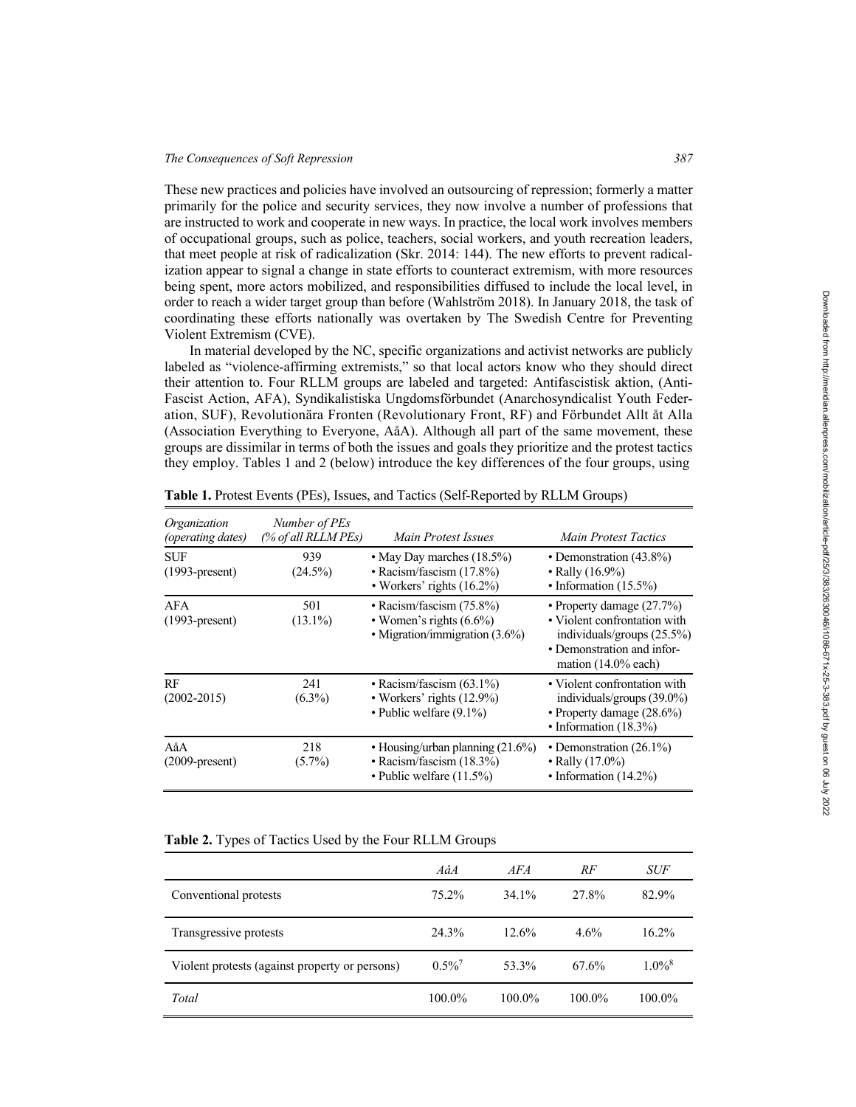These new practices and policies have involved an outsourcing of repression; formerly a matter primarily for the police and security services, they now involve a number of professions that are instructed to work and cooperate in new ways. In practice, the local work involves members of occupational groups, such as police, teachers, social workers, and youth recreation leaders, that meet people at risk of radicalization (Skr. 2014: 144). The new efforts to prevent radicalization appear to signal a change in state efforts to counteract extremism, with more resources being spent, more actors mobilized, and responsibilities diffused to include the local level, in order to reach a wider target group than before (Wahlström 2018). In January 2018, the task of coordinating these efforts nationally was overtaken by The Swedish Centre for Preventing Violent Extremism (CVE).

In material developed by the NC, specific organizations and activist networks are publicly labeled as "violence-affirming extremists," so that local actors know who they should direct their attention to. Four RLLM groups are labeled and targeted: Antifascistisk aktion, (Anti-Fascist Action, AFA), Syndikalistiska Ungdomsförbundet (Anarchosyndicalist Youth Federation, SUF), Revolutionära Fronten (Revolutionary Front, RF) and Förbundet Allt åt Alla (Association Everything to Everyone, AåA). Although all part of the same movement, these groups are dissimilar in terms of both the issues and goals they prioritize and the protest tactics they employ. Tables 1 and 2 (below) introduce the key differences of the four groups, using

| Organization<br>(operating dates) | Number of PEs<br>(% of all RLLM PEs) | Main Protest Issues                                                                               | Main Protest Tactics                                                                                                                              |
|-----------------------------------|--------------------------------------|---------------------------------------------------------------------------------------------------|---------------------------------------------------------------------------------------------------------------------------------------------------|
| <b>SUF</b><br>$(1993-present)$    | 939<br>$(24.5\%)$                    | • May Day marches (18.5%)<br>• Racism/fascism $(17.8\%)$<br>• Workers' rights $(16.2\%)$          | • Demonstration (43.8%)<br>• Rally $(16.9\%)$<br>• Information $(15.5\%)$                                                                         |
| AFA<br>$(1993-present)$           | 501<br>$(13.1\%)$                    | • Racism/fascism $(75.8\%)$<br>• Women's rights $(6.6\%)$<br>• Migration/immigration (3.6%)       | • Property damage $(27.7%)$<br>• Violent confrontation with<br>individuals/groups (25.5%)<br>• Demonstration and infor-<br>mation $(14.0\%$ each) |
| RF<br>$(2002 - 2015)$             | 241<br>$(6.3\%)$                     | • Racism/fascism $(63.1\%)$<br>• Workers' rights $(12.9\%)$<br>• Public welfare $(9.1\%)$         | • Violent confrontation with<br>individuals/groups $(39.0\%)$<br>• Property damage (28.6%)<br>• Information $(18.3\%)$                            |
| AåA<br>$(2009-present)$           | 218<br>$(5.7\%)$                     | • Housing/urban planning $(21.6\%)$<br>• Racism/fascism $(18.3\%)$<br>• Public welfare $(11.5\%)$ | • Demonstration $(26.1\%)$<br>• Rally $(17.0\%)$<br>• Information $(14.2\%)$                                                                      |

**Table 1.** Protest Events (PEs), Issues, and Tactics (Self-Reported by RLLM Groups)

## **Table 2.** Types of Tactics Used by the Four RLLM Groups

|                                                | AåA                  | AF A     | RF        | <i>SUF</i>           |
|------------------------------------------------|----------------------|----------|-----------|----------------------|
| Conventional protests                          | 75.2%                | 34.1%    | 27.8%     | 82.9%                |
| Transgressive protests                         | 24.3%                | $12.6\%$ | $4.6\%$   | 16.2%                |
| Violent protests (against property or persons) | $0.5\%$ <sup>7</sup> | 53.3%    | 67.6%     | $1.0\%$ <sup>8</sup> |
| Total                                          | 100.0%               | 100.0%   | $100.0\%$ | 100.0%               |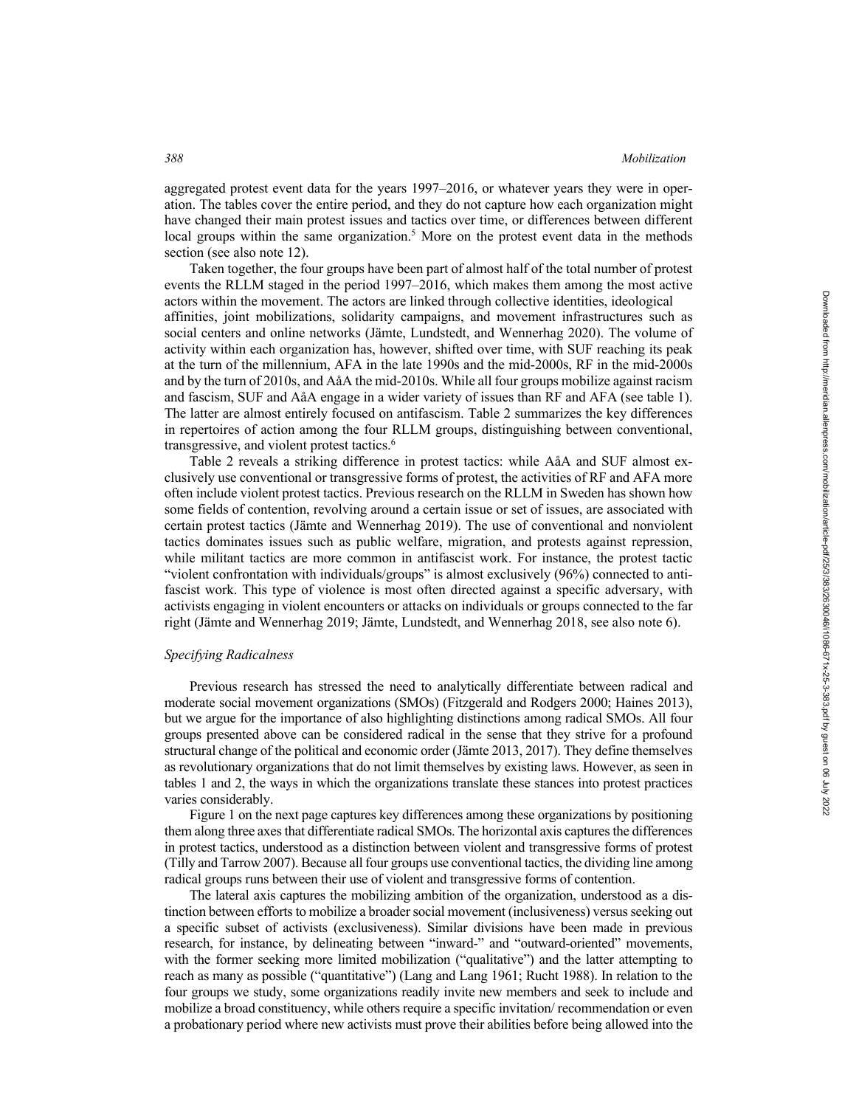aggregated protest event data for the years 1997–2016, or whatever years they were in operation. The tables cover the entire period, and they do not capture how each organization might have changed their main protest issues and tactics over time, or differences between different local groups within the same organization.<sup>5</sup> More on the protest event data in the methods section (see also note 12).

Taken together, the four groups have been part of almost half of the total number of protest events the RLLM staged in the period 1997–2016, which makes them among the most active actors within the movement. The actors are linked through collective identities, ideological affinities, joint mobilizations, solidarity campaigns, and movement infrastructures such as social centers and online networks (Jämte, Lundstedt, and Wennerhag 2020). The volume of activity within each organization has, however, shifted over time, with SUF reaching its peak at the turn of the millennium, AFA in the late 1990s and the mid-2000s, RF in the mid-2000s and by the turn of 2010s, and AåA the mid-2010s. While all four groups mobilize against racism and fascism, SUF and AåA engage in a wider variety of issues than RF and AFA (see table 1). The latter are almost entirely focused on antifascism. Table 2 summarizes the key differences in repertoires of action among the four RLLM groups, distinguishing between conventional, transgressive, and violent protest tactics.<sup>6</sup>

Table 2 reveals a striking difference in protest tactics: while AåA and SUF almost exclusively use conventional or transgressive forms of protest, the activities of RF and AFA more often include violent protest tactics. Previous research on the RLLM in Sweden has shown how some fields of contention, revolving around a certain issue or set of issues, are associated with certain protest tactics (Jämte and Wennerhag 2019). The use of conventional and nonviolent tactics dominates issues such as public welfare, migration, and protests against repression, while militant tactics are more common in antifascist work. For instance, the protest tactic "violent confrontation with individuals/groups" is almost exclusively (96%) connected to antifascist work. This type of violence is most often directed against a specific adversary, with activists engaging in violent encounters or attacks on individuals or groups connected to the far right (Jämte and Wennerhag 2019; Jämte, Lundstedt, and Wennerhag 2018, see also note 6).

## *Specifying Radicalness*

Previous research has stressed the need to analytically differentiate between radical and moderate social movement organizations (SMOs) (Fitzgerald and Rodgers 2000; Haines 2013), but we argue for the importance of also highlighting distinctions among radical SMOs. All four groups presented above can be considered radical in the sense that they strive for a profound structural change of the political and economic order (Jämte 2013, 2017). They define themselves as revolutionary organizations that do not limit themselves by existing laws. However, as seen in tables 1 and 2, the ways in which the organizations translate these stances into protest practices varies considerably.

Figure 1 on the next page captures key differences among these organizations by positioning them along three axes that differentiate radical SMOs. The horizontal axis captures the differences in protest tactics, understood as a distinction between violent and transgressive forms of protest (Tilly and Tarrow 2007). Because all four groups use conventional tactics, the dividing line among radical groups runs between their use of violent and transgressive forms of contention.

The lateral axis captures the mobilizing ambition of the organization, understood as a distinction between efforts to mobilize a broader social movement (inclusiveness) versus seeking out a specific subset of activists (exclusiveness). Similar divisions have been made in previous research, for instance, by delineating between "inward-" and "outward-oriented" movements, with the former seeking more limited mobilization ("qualitative") and the latter attempting to reach as many as possible ("quantitative") (Lang and Lang 1961; Rucht 1988). In relation to the four groups we study, some organizations readily invite new members and seek to include and mobilize a broad constituency, while others require a specific invitation/ recommendation or even a probationary period where new activists must prove their abilities before being allowed into the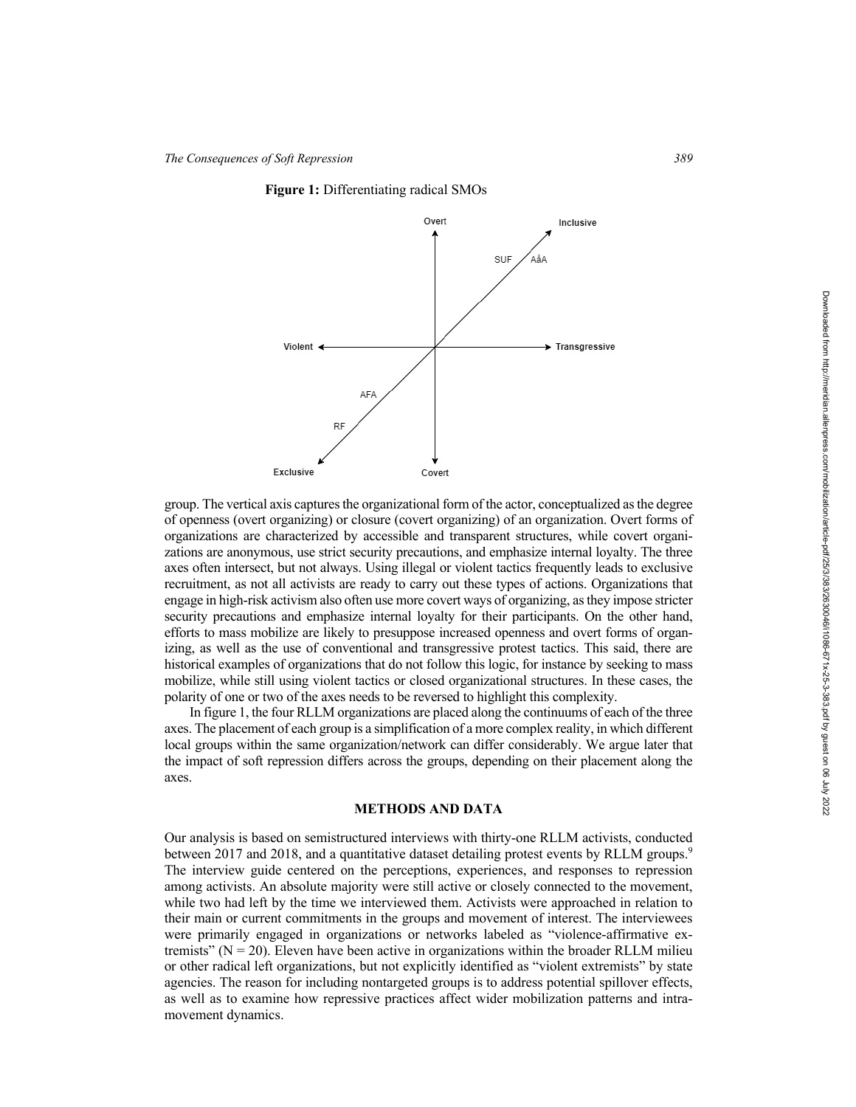



group. The vertical axis captures the organizational form of the actor, conceptualized as the degree of openness (overt organizing) or closure (covert organizing) of an organization. Overt forms of organizations are characterized by accessible and transparent structures, while covert organizations are anonymous, use strict security precautions, and emphasize internal loyalty. The three axes often intersect, but not always. Using illegal or violent tactics frequently leads to exclusive recruitment, as not all activists are ready to carry out these types of actions. Organizations that engage in high-risk activism also often use more covert ways of organizing, as they impose stricter security precautions and emphasize internal loyalty for their participants. On the other hand, efforts to mass mobilize are likely to presuppose increased openness and overt forms of organizing, as well as the use of conventional and transgressive protest tactics. This said, there are historical examples of organizations that do not follow this logic, for instance by seeking to mass mobilize, while still using violent tactics or closed organizational structures. In these cases, the polarity of one or two of the axes needs to be reversed to highlight this complexity.

In figure 1, the four RLLM organizations are placed along the continuums of each of the three axes. The placement of each group is a simplification of a more complex reality, in which different local groups within the same organization/network can differ considerably. We argue later that the impact of soft repression differs across the groups, depending on their placement along the axes.

## **METHODS AND DATA**

Our analysis is based on semistructured interviews with thirty-one RLLM activists, conducted between 2017 and 2018, and a quantitative dataset detailing protest events by RLLM groups.<sup>9</sup> The interview guide centered on the perceptions, experiences, and responses to repression among activists. An absolute majority were still active or closely connected to the movement, while two had left by the time we interviewed them. Activists were approached in relation to their main or current commitments in the groups and movement of interest. The interviewees were primarily engaged in organizations or networks labeled as "violence-affirmative extremists" ( $N = 20$ ). Eleven have been active in organizations within the broader RLLM milieu or other radical left organizations, but not explicitly identified as "violent extremists" by state agencies. The reason for including nontargeted groups is to address potential spillover effects, as well as to examine how repressive practices affect wider mobilization patterns and intramovement dynamics.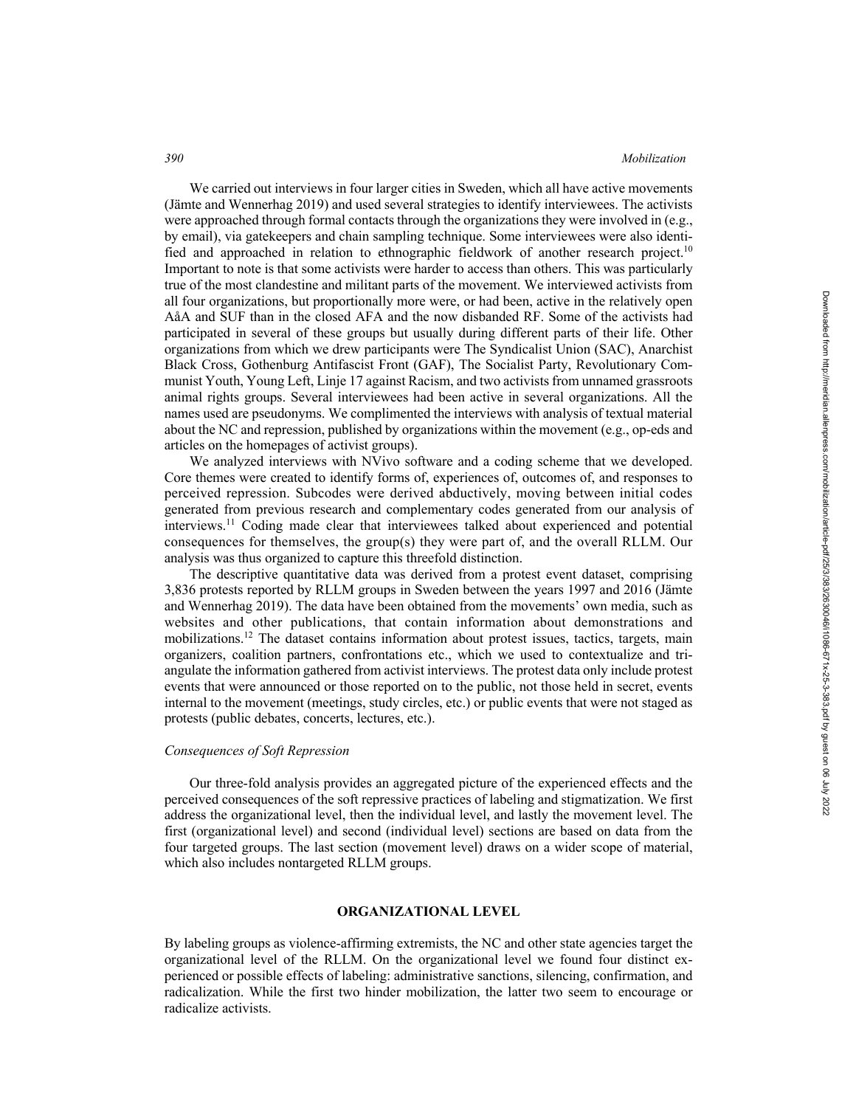We carried out interviews in four larger cities in Sweden, which all have active movements (Jämte and Wennerhag 2019) and used several strategies to identify interviewees. The activists were approached through formal contacts through the organizations they were involved in (e.g., by email), via gatekeepers and chain sampling technique. Some interviewees were also identified and approached in relation to ethnographic fieldwork of another research project.<sup>10</sup> Important to note is that some activists were harder to access than others. This was particularly true of the most clandestine and militant parts of the movement. We interviewed activists from all four organizations, but proportionally more were, or had been, active in the relatively open AåA and SUF than in the closed AFA and the now disbanded RF. Some of the activists had participated in several of these groups but usually during different parts of their life. Other organizations from which we drew participants were The Syndicalist Union (SAC), Anarchist Black Cross, Gothenburg Antifascist Front (GAF), The Socialist Party, Revolutionary Communist Youth, Young Left, Linje 17 against Racism, and two activists from unnamed grassroots animal rights groups. Several interviewees had been active in several organizations. All the names used are pseudonyms. We complimented the interviews with analysis of textual material about the NC and repression, published by organizations within the movement (e.g., op-eds and articles on the homepages of activist groups).

We analyzed interviews with NVivo software and a coding scheme that we developed. Core themes were created to identify forms of, experiences of, outcomes of, and responses to perceived repression. Subcodes were derived abductively, moving between initial codes generated from previous research and complementary codes generated from our analysis of interviews.11 Coding made clear that interviewees talked about experienced and potential consequences for themselves, the group(s) they were part of, and the overall RLLM. Our analysis was thus organized to capture this threefold distinction.

The descriptive quantitative data was derived from a protest event dataset, comprising 3,836 protests reported by RLLM groups in Sweden between the years 1997 and 2016 (Jämte and Wennerhag 2019). The data have been obtained from the movements' own media, such as websites and other publications, that contain information about demonstrations and mobilizations.12 The dataset contains information about protest issues, tactics, targets, main organizers, coalition partners, confrontations etc., which we used to contextualize and triangulate the information gathered from activist interviews. The protest data only include protest events that were announced or those reported on to the public, not those held in secret, events internal to the movement (meetings, study circles, etc.) or public events that were not staged as protests (public debates, concerts, lectures, etc.).

## *Consequences of Soft Repression*

Our three-fold analysis provides an aggregated picture of the experienced effects and the perceived consequences of the soft repressive practices of labeling and stigmatization. We first address the organizational level, then the individual level, and lastly the movement level. The first (organizational level) and second (individual level) sections are based on data from the four targeted groups. The last section (movement level) draws on a wider scope of material, which also includes nontargeted RLLM groups.

#### **ORGANIZATIONAL LEVEL**

By labeling groups as violence-affirming extremists, the NC and other state agencies target the organizational level of the RLLM. On the organizational level we found four distinct experienced or possible effects of labeling: administrative sanctions, silencing, confirmation, and radicalization. While the first two hinder mobilization, the latter two seem to encourage or radicalize activists.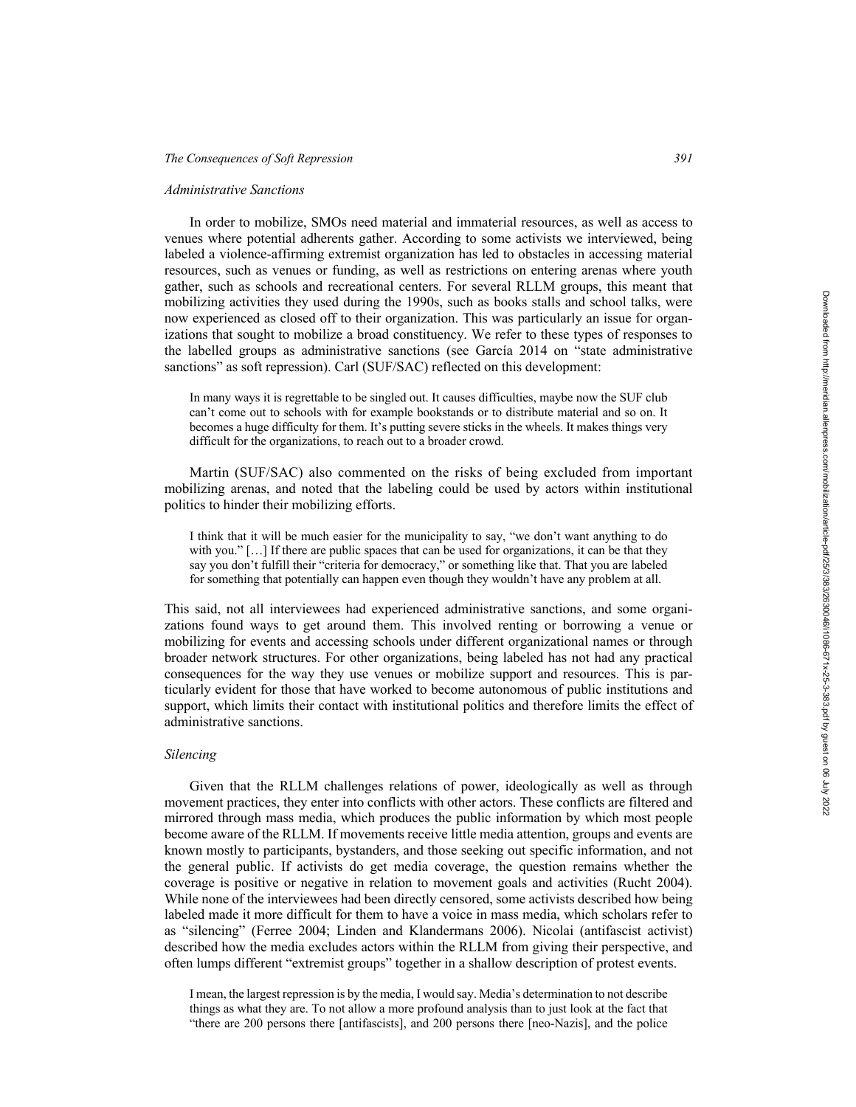### *Administrative Sanctions*

In order to mobilize, SMOs need material and immaterial resources, as well as access to venues where potential adherents gather. According to some activists we interviewed, being labeled a violence-affirming extremist organization has led to obstacles in accessing material resources, such as venues or funding, as well as restrictions on entering arenas where youth gather, such as schools and recreational centers. For several RLLM groups, this meant that mobilizing activities they used during the 1990s, such as books stalls and school talks, were now experienced as closed off to their organization. This was particularly an issue for organizations that sought to mobilize a broad constituency. We refer to these types of responses to the labelled groups as administrative sanctions (see García 2014 on "state administrative sanctions" as soft repression). Carl (SUF/SAC) reflected on this development:

In many ways it is regrettable to be singled out. It causes difficulties, maybe now the SUF club can't come out to schools with for example bookstands or to distribute material and so on. It becomes a huge difficulty for them. It's putting severe sticks in the wheels. It makes things very difficult for the organizations, to reach out to a broader crowd.

Martin (SUF/SAC) also commented on the risks of being excluded from important mobilizing arenas, and noted that the labeling could be used by actors within institutional politics to hinder their mobilizing efforts.

I think that it will be much easier for the municipality to say, "we don't want anything to do with you." [...] If there are public spaces that can be used for organizations, it can be that they say you don't fulfill their "criteria for democracy," or something like that. That you are labeled for something that potentially can happen even though they wouldn't have any problem at all.

This said, not all interviewees had experienced administrative sanctions, and some organizations found ways to get around them. This involved renting or borrowing a venue or mobilizing for events and accessing schools under different organizational names or through broader network structures. For other organizations, being labeled has not had any practical consequences for the way they use venues or mobilize support and resources. This is particularly evident for those that have worked to become autonomous of public institutions and support, which limits their contact with institutional politics and therefore limits the effect of administrative sanctions.

## *Silencing*

Given that the RLLM challenges relations of power, ideologically as well as through movement practices, they enter into conflicts with other actors. These conflicts are filtered and mirrored through mass media, which produces the public information by which most people become aware of the RLLM. If movements receive little media attention, groups and events are known mostly to participants, bystanders, and those seeking out specific information, and not the general public. If activists do get media coverage, the question remains whether the coverage is positive or negative in relation to movement goals and activities (Rucht 2004). While none of the interviewees had been directly censored, some activists described how being labeled made it more difficult for them to have a voice in mass media, which scholars refer to as "silencing" (Ferree 2004; Linden and Klandermans 2006). Nicolai (antifascist activist) described how the media excludes actors within the RLLM from giving their perspective, and often lumps different "extremist groups" together in a shallow description of protest events.

I mean, the largest repression is by the media, I would say. Media's determination to not describe things as what they are. To not allow a more profound analysis than to just look at the fact that "there are 200 persons there [antifascists], and 200 persons there [neo-Nazis], and the police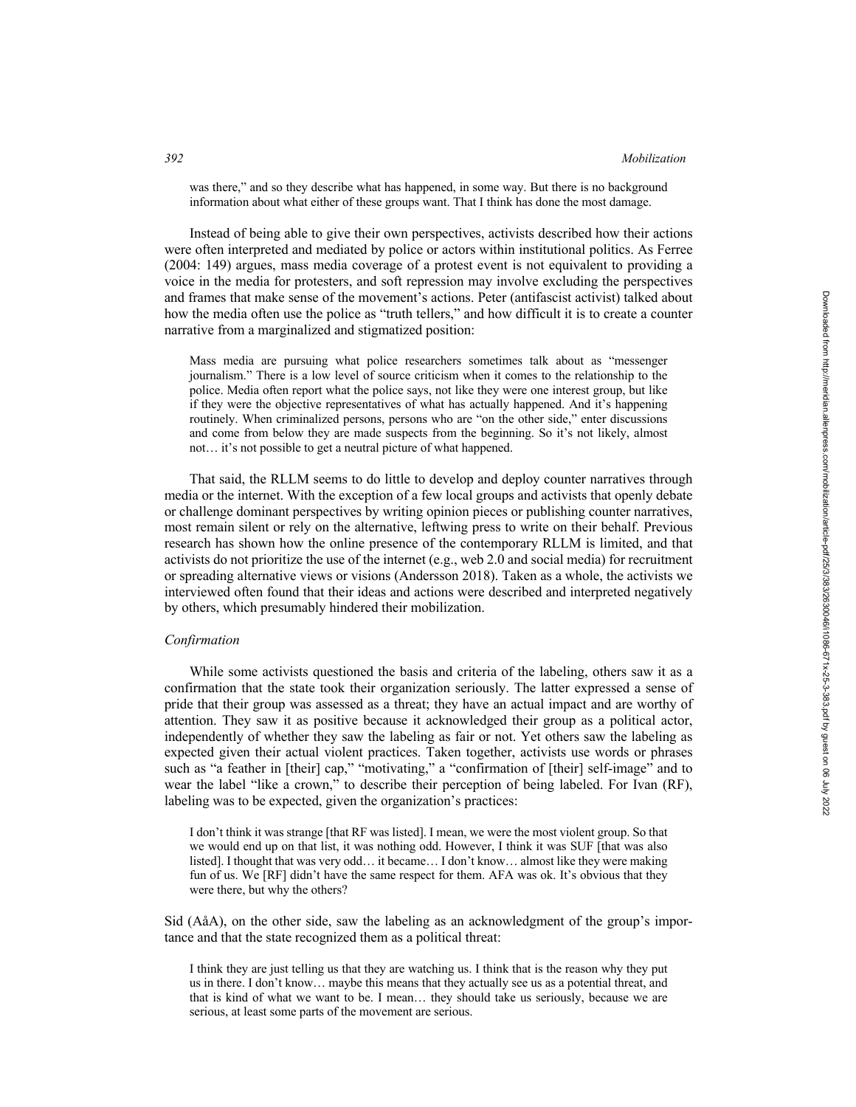#### *392 Mobilization*

was there," and so they describe what has happened, in some way. But there is no background information about what either of these groups want. That I think has done the most damage.

Instead of being able to give their own perspectives, activists described how their actions were often interpreted and mediated by police or actors within institutional politics. As Ferree (2004: 149) argues, mass media coverage of a protest event is not equivalent to providing a voice in the media for protesters, and soft repression may involve excluding the perspectives and frames that make sense of the movement's actions. Peter (antifascist activist) talked about how the media often use the police as "truth tellers," and how difficult it is to create a counter narrative from a marginalized and stigmatized position:

Mass media are pursuing what police researchers sometimes talk about as "messenger journalism." There is a low level of source criticism when it comes to the relationship to the police. Media often report what the police says, not like they were one interest group, but like if they were the objective representatives of what has actually happened. And it's happening routinely. When criminalized persons, persons who are "on the other side," enter discussions and come from below they are made suspects from the beginning. So it's not likely, almost not… it's not possible to get a neutral picture of what happened.

That said, the RLLM seems to do little to develop and deploy counter narratives through media or the internet. With the exception of a few local groups and activists that openly debate or challenge dominant perspectives by writing opinion pieces or publishing counter narratives, most remain silent or rely on the alternative, leftwing press to write on their behalf. Previous research has shown how the online presence of the contemporary RLLM is limited, and that activists do not prioritize the use of the internet (e.g., web 2.0 and social media) for recruitment or spreading alternative views or visions (Andersson 2018). Taken as a whole, the activists we interviewed often found that their ideas and actions were described and interpreted negatively by others, which presumably hindered their mobilization.

### *Confirmation*

While some activists questioned the basis and criteria of the labeling, others saw it as a confirmation that the state took their organization seriously. The latter expressed a sense of pride that their group was assessed as a threat; they have an actual impact and are worthy of attention. They saw it as positive because it acknowledged their group as a political actor, independently of whether they saw the labeling as fair or not. Yet others saw the labeling as expected given their actual violent practices. Taken together, activists use words or phrases such as "a feather in [their] cap," "motivating," a "confirmation of [their] self-image" and to wear the label "like a crown," to describe their perception of being labeled. For Ivan (RF), labeling was to be expected, given the organization's practices:

I don't think it was strange [that RF was listed]. I mean, we were the most violent group. So that we would end up on that list, it was nothing odd. However, I think it was SUF [that was also listed]. I thought that was very odd… it became… I don't know… almost like they were making fun of us. We [RF] didn't have the same respect for them. AFA was ok. It's obvious that they were there, but why the others?

Sid (AåA), on the other side, saw the labeling as an acknowledgment of the group's importance and that the state recognized them as a political threat:

I think they are just telling us that they are watching us. I think that is the reason why they put us in there. I don't know… maybe this means that they actually see us as a potential threat, and that is kind of what we want to be. I mean… they should take us seriously, because we are serious, at least some parts of the movement are serious.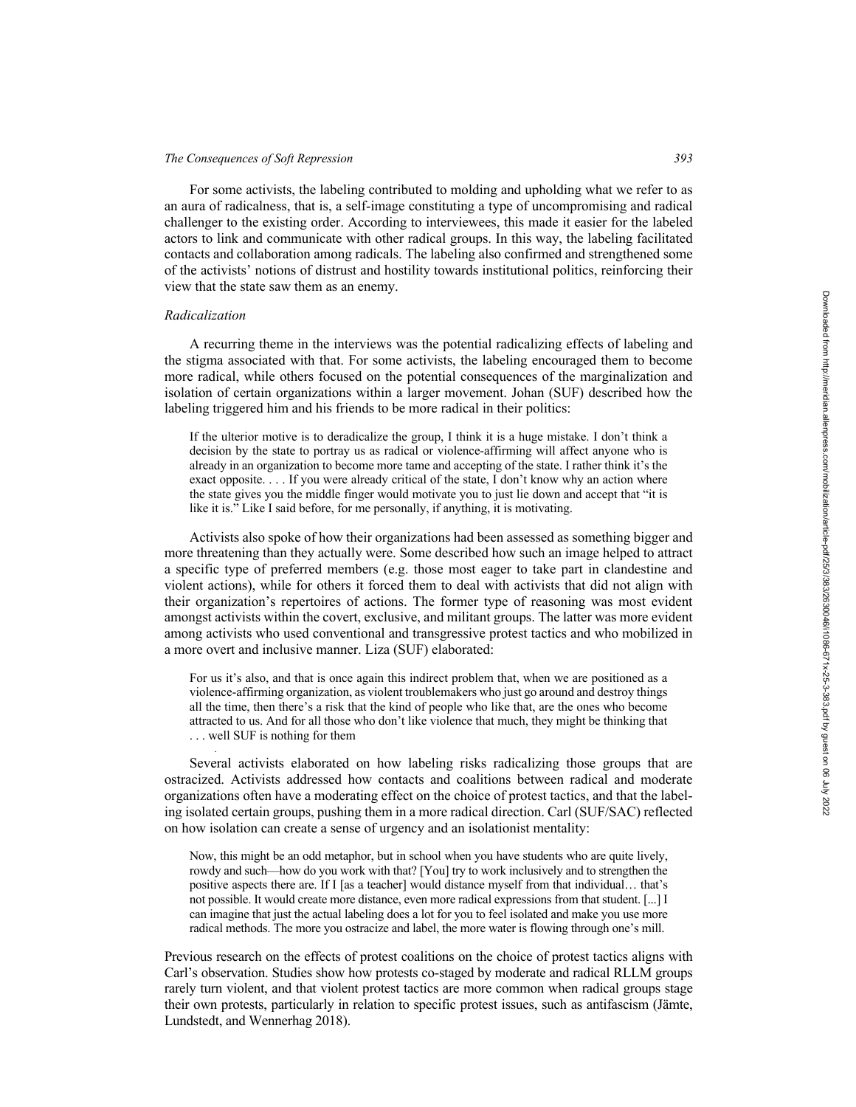For some activists, the labeling contributed to molding and upholding what we refer to as an aura of radicalness, that is, a self-image constituting a type of uncompromising and radical challenger to the existing order. According to interviewees, this made it easier for the labeled actors to link and communicate with other radical groups. In this way, the labeling facilitated contacts and collaboration among radicals. The labeling also confirmed and strengthened some of the activists' notions of distrust and hostility towards institutional politics, reinforcing their view that the state saw them as an enemy.

## *Radicalization*

*.*

A recurring theme in the interviews was the potential radicalizing effects of labeling and the stigma associated with that. For some activists, the labeling encouraged them to become more radical, while others focused on the potential consequences of the marginalization and isolation of certain organizations within a larger movement. Johan (SUF) described how the labeling triggered him and his friends to be more radical in their politics:

If the ulterior motive is to deradicalize the group, I think it is a huge mistake. I don't think a decision by the state to portray us as radical or violence-affirming will affect anyone who is already in an organization to become more tame and accepting of the state. I rather think it's the exact opposite. . . . If you were already critical of the state, I don't know why an action where the state gives you the middle finger would motivate you to just lie down and accept that "it is like it is." Like I said before, for me personally, if anything, it is motivating.

Activists also spoke of how their organizations had been assessed as something bigger and more threatening than they actually were. Some described how such an image helped to attract a specific type of preferred members (e.g. those most eager to take part in clandestine and violent actions), while for others it forced them to deal with activists that did not align with their organization's repertoires of actions. The former type of reasoning was most evident amongst activists within the covert, exclusive, and militant groups. The latter was more evident among activists who used conventional and transgressive protest tactics and who mobilized in a more overt and inclusive manner. Liza (SUF) elaborated:

For us it's also, and that is once again this indirect problem that, when we are positioned as a violence-affirming organization, as violent troublemakers who just go around and destroy things all the time, then there's a risk that the kind of people who like that, are the ones who become attracted to us. And for all those who don't like violence that much, they might be thinking that . . . well SUF is nothing for them

Several activists elaborated on how labeling risks radicalizing those groups that are ostracized. Activists addressed how contacts and coalitions between radical and moderate organizations often have a moderating effect on the choice of protest tactics, and that the labeling isolated certain groups, pushing them in a more radical direction. Carl (SUF/SAC) reflected on how isolation can create a sense of urgency and an isolationist mentality:

Now, this might be an odd metaphor, but in school when you have students who are quite lively, rowdy and such—how do you work with that? [You] try to work inclusively and to strengthen the positive aspects there are. If I [as a teacher] would distance myself from that individual… that's not possible. It would create more distance, even more radical expressions from that student. [...] I can imagine that just the actual labeling does a lot for you to feel isolated and make you use more radical methods. The more you ostracize and label, the more water is flowing through one's mill.

Previous research on the effects of protest coalitions on the choice of protest tactics aligns with Carl's observation. Studies show how protests co-staged by moderate and radical RLLM groups rarely turn violent, and that violent protest tactics are more common when radical groups stage their own protests, particularly in relation to specific protest issues, such as antifascism (Jämte, Lundstedt, and Wennerhag 2018).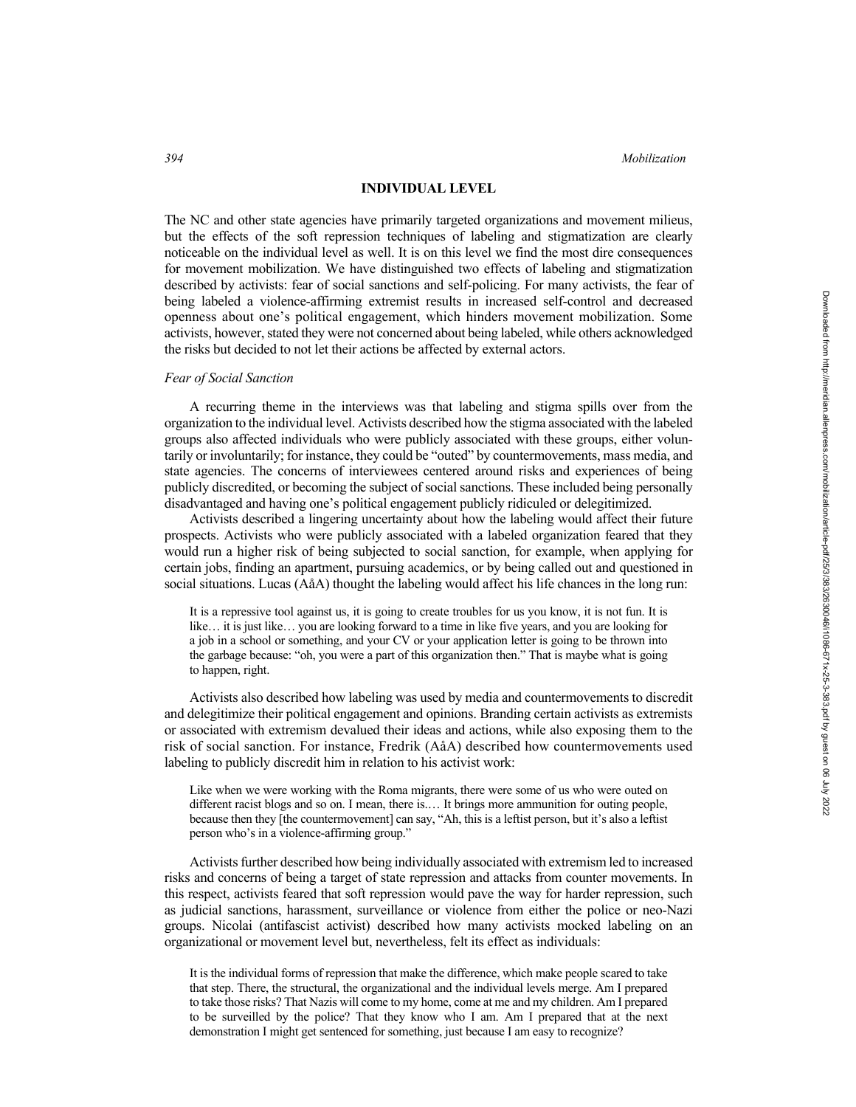#### **INDIVIDUAL LEVEL**

The NC and other state agencies have primarily targeted organizations and movement milieus, but the effects of the soft repression techniques of labeling and stigmatization are clearly noticeable on the individual level as well. It is on this level we find the most dire consequences for movement mobilization. We have distinguished two effects of labeling and stigmatization described by activists: fear of social sanctions and self-policing. For many activists, the fear of being labeled a violence-affirming extremist results in increased self-control and decreased openness about one's political engagement, which hinders movement mobilization. Some activists, however, stated they were not concerned about being labeled, while others acknowledged the risks but decided to not let their actions be affected by external actors.

### *Fear of Social Sanction*

A recurring theme in the interviews was that labeling and stigma spills over from the organization to the individual level. Activists described how the stigma associated with the labeled groups also affected individuals who were publicly associated with these groups, either voluntarily or involuntarily; for instance, they could be "outed" by countermovements, mass media, and state agencies. The concerns of interviewees centered around risks and experiences of being publicly discredited, or becoming the subject of social sanctions. These included being personally disadvantaged and having one's political engagement publicly ridiculed or delegitimized.

Activists described a lingering uncertainty about how the labeling would affect their future prospects. Activists who were publicly associated with a labeled organization feared that they would run a higher risk of being subjected to social sanction, for example, when applying for certain jobs, finding an apartment, pursuing academics, or by being called out and questioned in social situations. Lucas (AåA) thought the labeling would affect his life chances in the long run:

It is a repressive tool against us, it is going to create troubles for us you know, it is not fun. It is like… it is just like… you are looking forward to a time in like five years, and you are looking for a job in a school or something, and your CV or your application letter is going to be thrown into the garbage because: "oh, you were a part of this organization then." That is maybe what is going to happen, right.

Activists also described how labeling was used by media and countermovements to discredit and delegitimize their political engagement and opinions. Branding certain activists as extremists or associated with extremism devalued their ideas and actions, while also exposing them to the risk of social sanction. For instance, Fredrik (AåA) described how countermovements used labeling to publicly discredit him in relation to his activist work:

Like when we were working with the Roma migrants, there were some of us who were outed on different racist blogs and so on. I mean, there is.… It brings more ammunition for outing people, because then they [the countermovement] can say, "Ah, this is a leftist person, but it's also a leftist person who's in a violence-affirming group."

Activists further described how being individually associated with extremism led to increased risks and concerns of being a target of state repression and attacks from counter movements. In this respect, activists feared that soft repression would pave the way for harder repression, such as judicial sanctions, harassment, surveillance or violence from either the police or neo-Nazi groups. Nicolai (antifascist activist) described how many activists mocked labeling on an organizational or movement level but, nevertheless, felt its effect as individuals:

It is the individual forms of repression that make the difference, which make people scared to take that step. There, the structural, the organizational and the individual levels merge. Am I prepared to take those risks? That Nazis will come to my home, come at me and my children. Am I prepared to be surveilled by the police? That they know who I am. Am I prepared that at the next demonstration I might get sentenced for something, just because I am easy to recognize?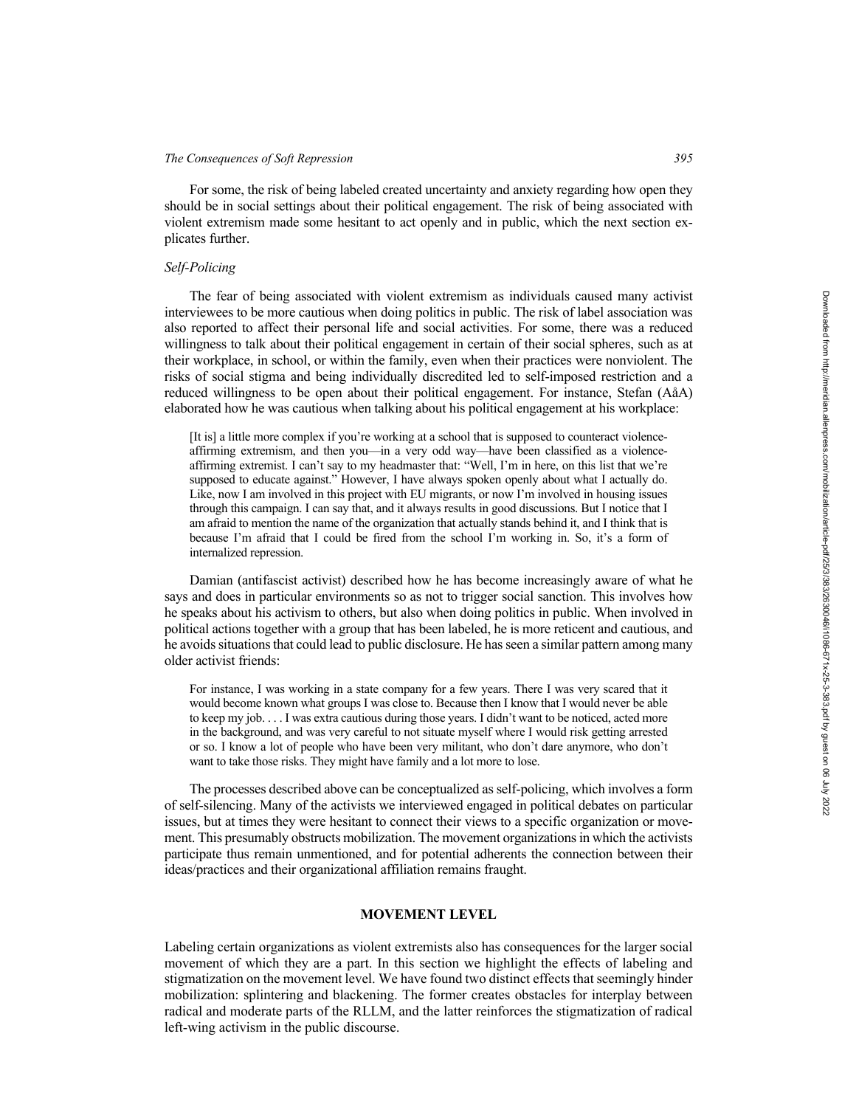For some, the risk of being labeled created uncertainty and anxiety regarding how open they should be in social settings about their political engagement. The risk of being associated with violent extremism made some hesitant to act openly and in public, which the next section explicates further.

### *Self-Policing*

The fear of being associated with violent extremism as individuals caused many activist interviewees to be more cautious when doing politics in public. The risk of label association was also reported to affect their personal life and social activities. For some, there was a reduced willingness to talk about their political engagement in certain of their social spheres, such as at their workplace, in school, or within the family, even when their practices were nonviolent. The risks of social stigma and being individually discredited led to self-imposed restriction and a reduced willingness to be open about their political engagement. For instance, Stefan (AåA) elaborated how he was cautious when talking about his political engagement at his workplace:

[It is] a little more complex if you're working at a school that is supposed to counteract violenceaffirming extremism, and then you—in a very odd way—have been classified as a violenceaffirming extremist. I can't say to my headmaster that: "Well, I'm in here, on this list that we're supposed to educate against." However, I have always spoken openly about what I actually do. Like, now I am involved in this project with EU migrants, or now I'm involved in housing issues through this campaign. I can say that, and it always results in good discussions. But I notice that I am afraid to mention the name of the organization that actually stands behind it, and I think that is because I'm afraid that I could be fired from the school I'm working in. So, it's a form of internalized repression.

Damian (antifascist activist) described how he has become increasingly aware of what he says and does in particular environments so as not to trigger social sanction. This involves how he speaks about his activism to others, but also when doing politics in public. When involved in political actions together with a group that has been labeled, he is more reticent and cautious, and he avoids situations that could lead to public disclosure. He has seen a similar pattern among many older activist friends:

For instance, I was working in a state company for a few years. There I was very scared that it would become known what groups I was close to. Because then I know that I would never be able to keep my job. . . . I was extra cautious during those years. I didn't want to be noticed, acted more in the background, and was very careful to not situate myself where I would risk getting arrested or so. I know a lot of people who have been very militant, who don't dare anymore, who don't want to take those risks. They might have family and a lot more to lose.

The processes described above can be conceptualized as self-policing, which involves a form of self-silencing. Many of the activists we interviewed engaged in political debates on particular issues, but at times they were hesitant to connect their views to a specific organization or movement. This presumably obstructs mobilization. The movement organizations in which the activists participate thus remain unmentioned, and for potential adherents the connection between their ideas/practices and their organizational affiliation remains fraught.

### **MOVEMENT LEVEL**

Labeling certain organizations as violent extremists also has consequences for the larger social movement of which they are a part. In this section we highlight the effects of labeling and stigmatization on the movement level. We have found two distinct effects that seemingly hinder mobilization: splintering and blackening. The former creates obstacles for interplay between radical and moderate parts of the RLLM, and the latter reinforces the stigmatization of radical left-wing activism in the public discourse.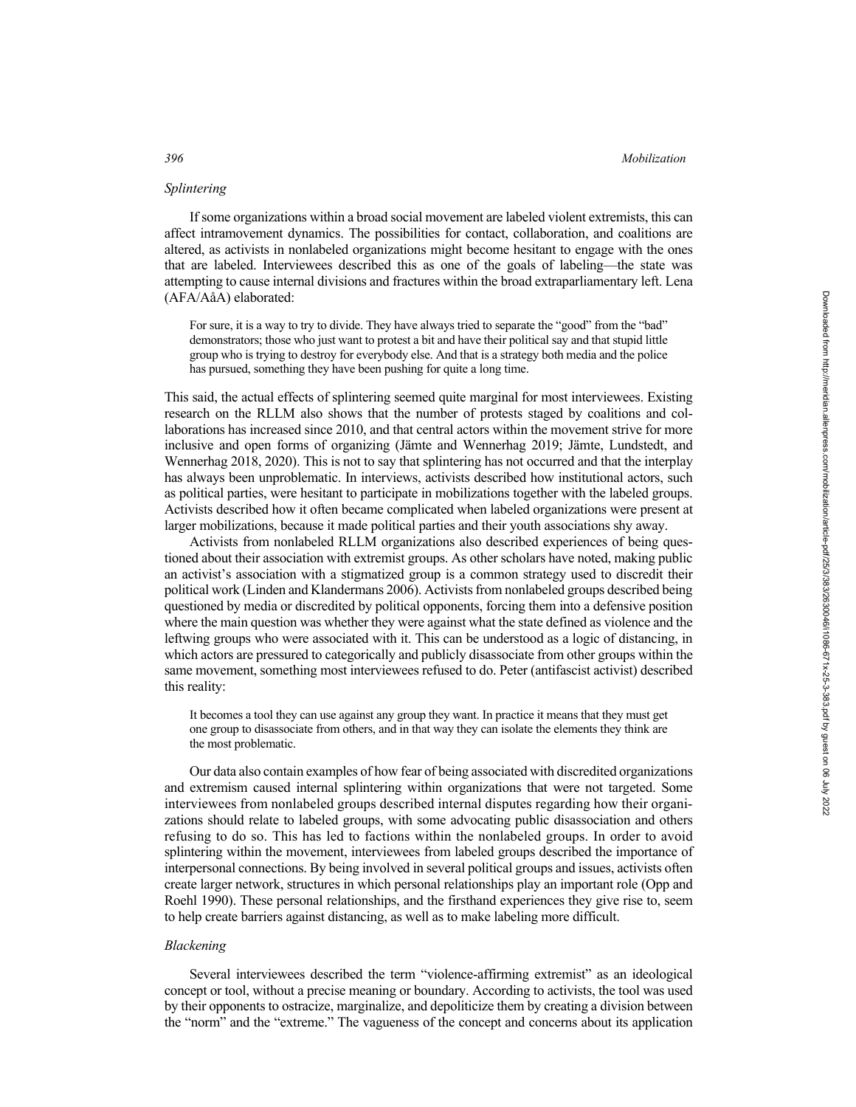## *Splintering*

If some organizations within a broad social movement are labeled violent extremists, this can affect intramovement dynamics. The possibilities for contact, collaboration, and coalitions are altered, as activists in nonlabeled organizations might become hesitant to engage with the ones that are labeled. Interviewees described this as one of the goals of labeling—the state was attempting to cause internal divisions and fractures within the broad extraparliamentary left. Lena (AFA/AåA) elaborated:

For sure, it is a way to try to divide. They have always tried to separate the "good" from the "bad" demonstrators; those who just want to protest a bit and have their political say and that stupid little group who is trying to destroy for everybody else. And that is a strategy both media and the police has pursued, something they have been pushing for quite a long time.

This said, the actual effects of splintering seemed quite marginal for most interviewees. Existing research on the RLLM also shows that the number of protests staged by coalitions and collaborations has increased since 2010, and that central actors within the movement strive for more inclusive and open forms of organizing (Jämte and Wennerhag 2019; Jämte, Lundstedt, and Wennerhag 2018, 2020). This is not to say that splintering has not occurred and that the interplay has always been unproblematic. In interviews, activists described how institutional actors, such as political parties, were hesitant to participate in mobilizations together with the labeled groups. Activists described how it often became complicated when labeled organizations were present at larger mobilizations, because it made political parties and their youth associations shy away.

Activists from nonlabeled RLLM organizations also described experiences of being questioned about their association with extremist groups. As other scholars have noted, making public an activist's association with a stigmatized group is a common strategy used to discredit their political work (Linden and Klandermans 2006). Activists from nonlabeled groups described being questioned by media or discredited by political opponents, forcing them into a defensive position where the main question was whether they were against what the state defined as violence and the leftwing groups who were associated with it. This can be understood as a logic of distancing, in which actors are pressured to categorically and publicly disassociate from other groups within the same movement, something most interviewees refused to do. Peter (antifascist activist) described this reality:

It becomes a tool they can use against any group they want. In practice it means that they must get one group to disassociate from others, and in that way they can isolate the elements they think are the most problematic.

Our data also contain examples of how fear of being associated with discredited organizations and extremism caused internal splintering within organizations that were not targeted. Some interviewees from nonlabeled groups described internal disputes regarding how their organizations should relate to labeled groups, with some advocating public disassociation and others refusing to do so. This has led to factions within the nonlabeled groups. In order to avoid splintering within the movement, interviewees from labeled groups described the importance of interpersonal connections. By being involved in several political groups and issues, activists often create larger network, structures in which personal relationships play an important role (Opp and Roehl 1990). These personal relationships, and the firsthand experiences they give rise to, seem to help create barriers against distancing, as well as to make labeling more difficult.

# *Blackening*

Several interviewees described the term "violence-affirming extremist" as an ideological concept or tool, without a precise meaning or boundary. According to activists, the tool was used by their opponents to ostracize, marginalize, and depoliticize them by creating a division between the "norm" and the "extreme." The vagueness of the concept and concerns about its application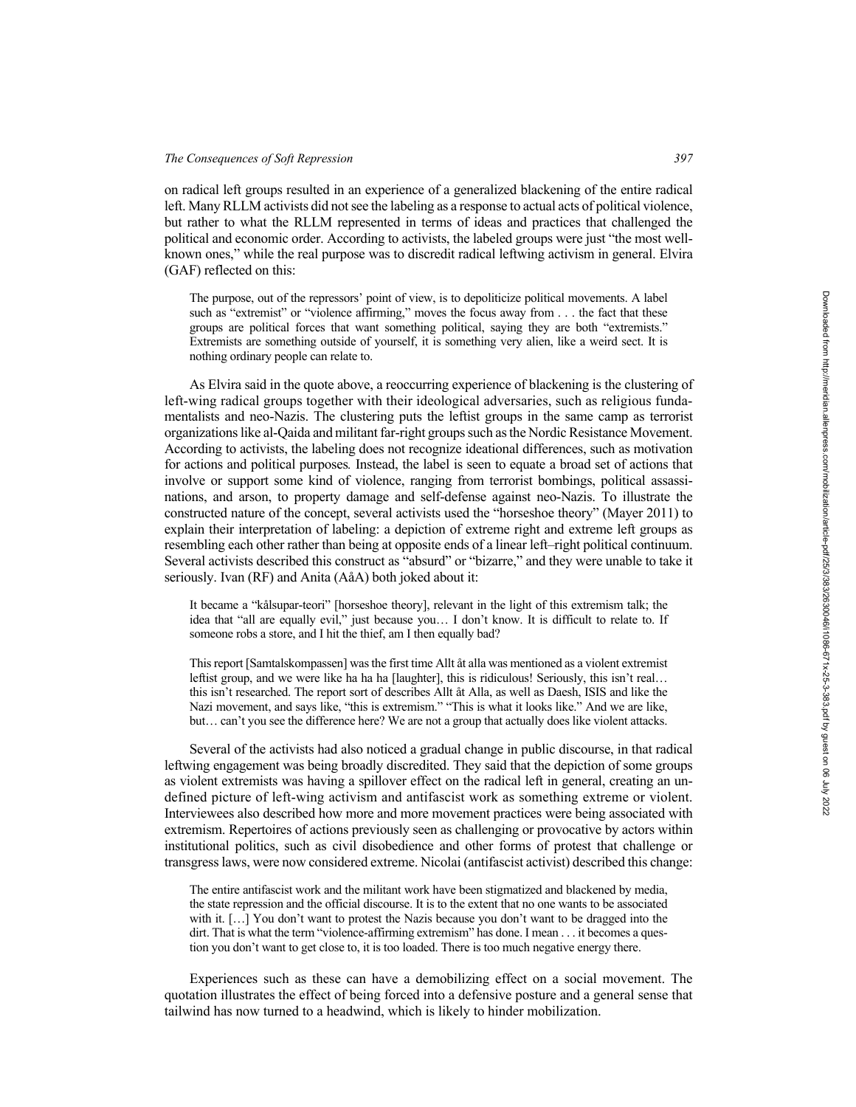on radical left groups resulted in an experience of a generalized blackening of the entire radical left. Many RLLM activists did not see the labeling as a response to actual acts of political violence, but rather to what the RLLM represented in terms of ideas and practices that challenged the political and economic order. According to activists, the labeled groups were just "the most wellknown ones," while the real purpose was to discredit radical leftwing activism in general. Elvira (GAF) reflected on this:

The purpose, out of the repressors' point of view, is to depoliticize political movements. A label such as "extremist" or "violence affirming," moves the focus away from . . . the fact that these groups are political forces that want something political, saying they are both "extremists." Extremists are something outside of yourself, it is something very alien, like a weird sect. It is nothing ordinary people can relate to.

As Elvira said in the quote above, a reoccurring experience of blackening is the clustering of left-wing radical groups together with their ideological adversaries, such as religious fundamentalists and neo-Nazis. The clustering puts the leftist groups in the same camp as terrorist organizations like al-Qaida and militant far-right groups such as the Nordic Resistance Movement. According to activists, the labeling does not recognize ideational differences, such as motivation for actions and political purposes*.* Instead, the label is seen to equate a broad set of actions that involve or support some kind of violence, ranging from terrorist bombings, political assassinations, and arson, to property damage and self-defense against neo-Nazis. To illustrate the constructed nature of the concept, several activists used the "horseshoe theory" (Mayer 2011) to explain their interpretation of labeling: a depiction of extreme right and extreme left groups as resembling each other rather than being at opposite ends of a linear left–right political continuum. Several activists described this construct as "absurd" or "bizarre," and they were unable to take it seriously. Ivan (RF) and Anita (AåA) both joked about it:

It became a "kålsupar-teori" [horseshoe theory], relevant in the light of this extremism talk; the idea that "all are equally evil," just because you… I don't know. It is difficult to relate to. If someone robs a store, and I hit the thief, am I then equally bad?

This report [Samtalskompassen] was the first time Allt åt alla was mentioned as a violent extremist leftist group, and we were like ha ha ha [laughter], this is ridiculous! Seriously, this isn't real… this isn't researched. The report sort of describes Allt åt Alla, as well as Daesh, ISIS and like the Nazi movement, and says like, "this is extremism." "This is what it looks like." And we are like, but… can't you see the difference here? We are not a group that actually does like violent attacks.

Several of the activists had also noticed a gradual change in public discourse, in that radical leftwing engagement was being broadly discredited. They said that the depiction of some groups as violent extremists was having a spillover effect on the radical left in general, creating an undefined picture of left-wing activism and antifascist work as something extreme or violent. Interviewees also described how more and more movement practices were being associated with extremism. Repertoires of actions previously seen as challenging or provocative by actors within institutional politics, such as civil disobedience and other forms of protest that challenge or transgress laws, were now considered extreme. Nicolai (antifascist activist) described this change:

The entire antifascist work and the militant work have been stigmatized and blackened by media, the state repression and the official discourse. It is to the extent that no one wants to be associated with it. [...] You don't want to protest the Nazis because you don't want to be dragged into the dirt. That is what the term "violence-affirming extremism" has done. I mean . . . it becomes a question you don't want to get close to, it is too loaded. There is too much negative energy there.

Experiences such as these can have a demobilizing effect on a social movement. The quotation illustrates the effect of being forced into a defensive posture and a general sense that tailwind has now turned to a headwind, which is likely to hinder mobilization.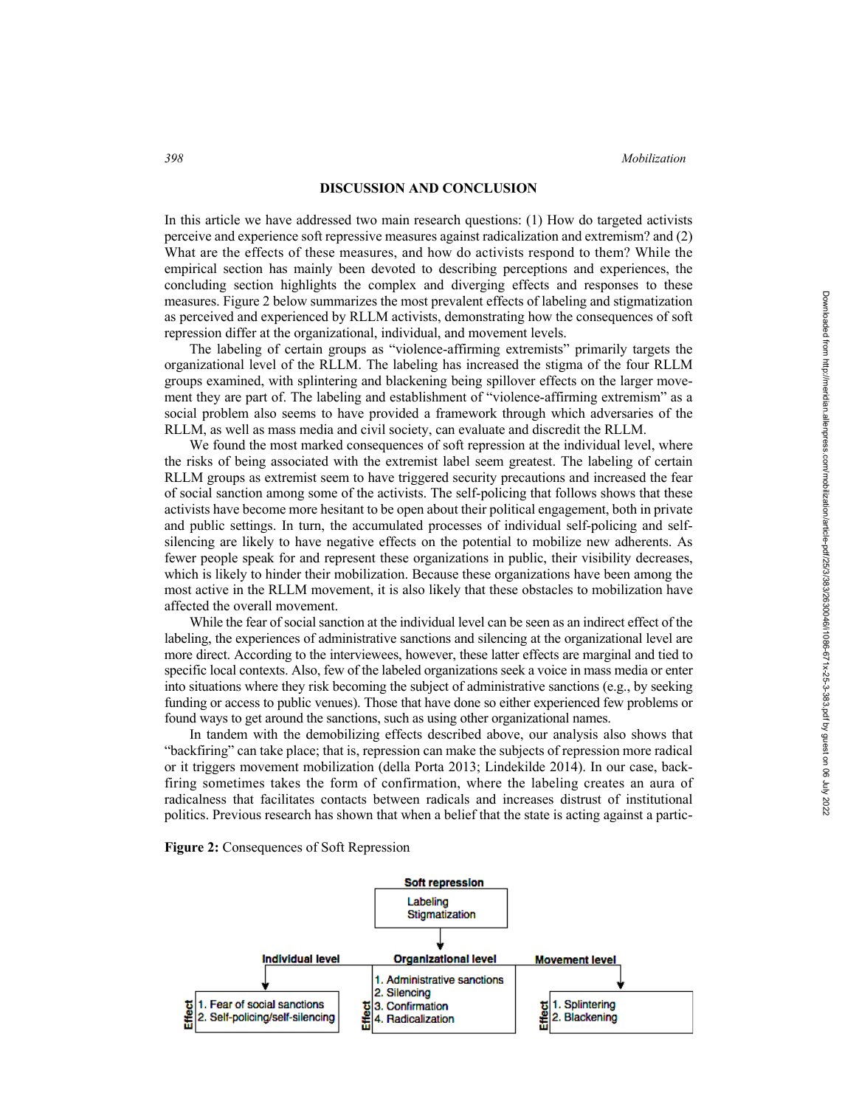## **DISCUSSION AND CONCLUSION**

In this article we have addressed two main research questions: (1) How do targeted activists perceive and experience soft repressive measures against radicalization and extremism? and (2) What are the effects of these measures, and how do activists respond to them? While the empirical section has mainly been devoted to describing perceptions and experiences, the concluding section highlights the complex and diverging effects and responses to these measures. Figure 2 below summarizes the most prevalent effects of labeling and stigmatization as perceived and experienced by RLLM activists, demonstrating how the consequences of soft repression differ at the organizational, individual, and movement levels.

The labeling of certain groups as "violence-affirming extremists" primarily targets the organizational level of the RLLM. The labeling has increased the stigma of the four RLLM groups examined, with splintering and blackening being spillover effects on the larger movement they are part of. The labeling and establishment of "violence-affirming extremism" as a social problem also seems to have provided a framework through which adversaries of the RLLM, as well as mass media and civil society, can evaluate and discredit the RLLM.

We found the most marked consequences of soft repression at the individual level, where the risks of being associated with the extremist label seem greatest. The labeling of certain RLLM groups as extremist seem to have triggered security precautions and increased the fear of social sanction among some of the activists. The self-policing that follows shows that these activists have become more hesitant to be open about their political engagement, both in private and public settings. In turn, the accumulated processes of individual self-policing and selfsilencing are likely to have negative effects on the potential to mobilize new adherents. As fewer people speak for and represent these organizations in public, their visibility decreases, which is likely to hinder their mobilization. Because these organizations have been among the most active in the RLLM movement, it is also likely that these obstacles to mobilization have affected the overall movement.

While the fear of social sanction at the individual level can be seen as an indirect effect of the labeling, the experiences of administrative sanctions and silencing at the organizational level are more direct. According to the interviewees, however, these latter effects are marginal and tied to specific local contexts. Also, few of the labeled organizations seek a voice in mass media or enter into situations where they risk becoming the subject of administrative sanctions (e.g., by seeking funding or access to public venues). Those that have done so either experienced few problems or found ways to get around the sanctions, such as using other organizational names.

In tandem with the demobilizing effects described above, our analysis also shows that "backfiring" can take place; that is, repression can make the subjects of repression more radical or it triggers movement mobilization (della Porta 2013; Lindekilde 2014). In our case, backfiring sometimes takes the form of confirmation, where the labeling creates an aura of radicalness that facilitates contacts between radicals and increases distrust of institutional politics. Previous research has shown that when a belief that the state is acting against a partic-

**Figure 2:** Consequences of Soft Repression

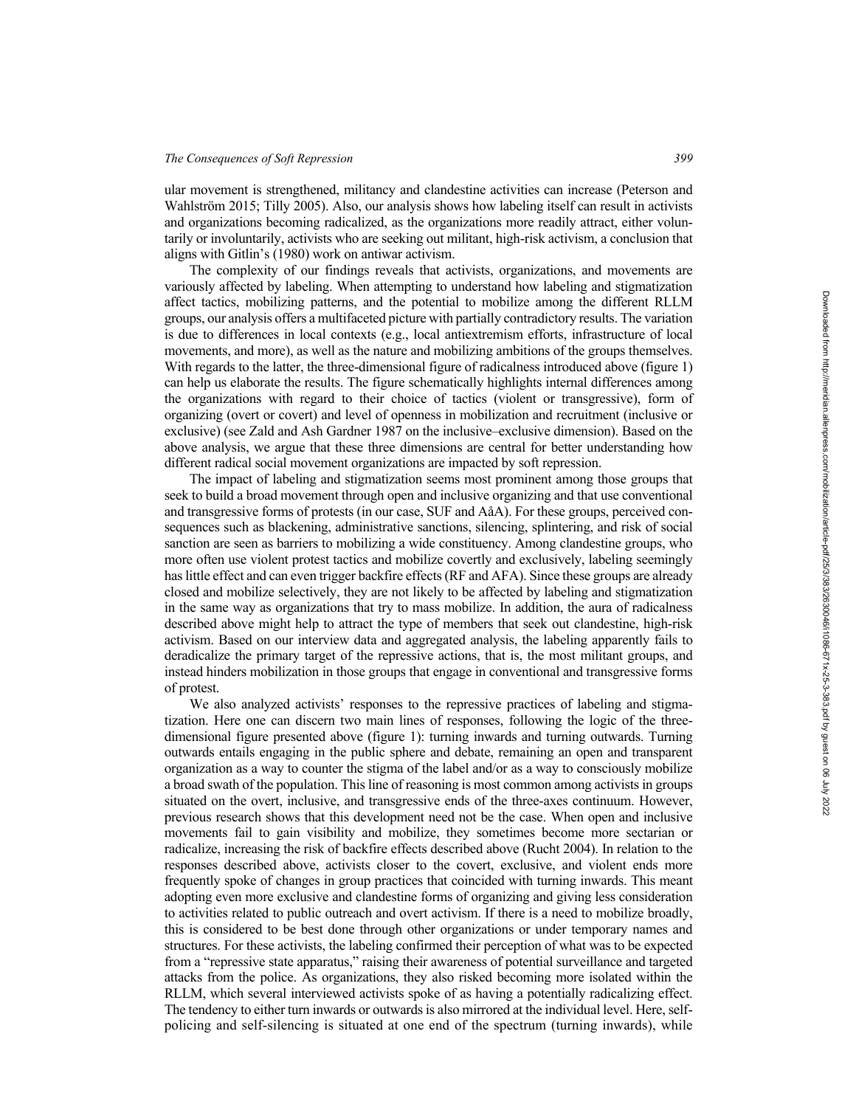ular movement is strengthened, militancy and clandestine activities can increase (Peterson and Wahlström 2015; Tilly 2005). Also, our analysis shows how labeling itself can result in activists and organizations becoming radicalized, as the organizations more readily attract, either voluntarily or involuntarily, activists who are seeking out militant, high-risk activism, a conclusion that aligns with Gitlin's (1980) work on antiwar activism.

The complexity of our findings reveals that activists, organizations, and movements are variously affected by labeling. When attempting to understand how labeling and stigmatization affect tactics, mobilizing patterns, and the potential to mobilize among the different RLLM groups, our analysis offers a multifaceted picture with partially contradictory results. The variation is due to differences in local contexts (e.g., local antiextremism efforts, infrastructure of local movements, and more), as well as the nature and mobilizing ambitions of the groups themselves. With regards to the latter, the three-dimensional figure of radicalness introduced above (figure 1) can help us elaborate the results. The figure schematically highlights internal differences among the organizations with regard to their choice of tactics (violent or transgressive), form of organizing (overt or covert) and level of openness in mobilization and recruitment (inclusive or exclusive) (see Zald and Ash Gardner 1987 on the inclusive–exclusive dimension). Based on the above analysis, we argue that these three dimensions are central for better understanding how different radical social movement organizations are impacted by soft repression.

The impact of labeling and stigmatization seems most prominent among those groups that seek to build a broad movement through open and inclusive organizing and that use conventional and transgressive forms of protests (in our case, SUF and AåA). For these groups, perceived consequences such as blackening, administrative sanctions, silencing, splintering, and risk of social sanction are seen as barriers to mobilizing a wide constituency. Among clandestine groups, who more often use violent protest tactics and mobilize covertly and exclusively, labeling seemingly has little effect and can even trigger backfire effects (RF and AFA). Since these groups are already closed and mobilize selectively, they are not likely to be affected by labeling and stigmatization in the same way as organizations that try to mass mobilize. In addition, the aura of radicalness described above might help to attract the type of members that seek out clandestine, high-risk activism. Based on our interview data and aggregated analysis, the labeling apparently fails to deradicalize the primary target of the repressive actions, that is, the most militant groups, and instead hinders mobilization in those groups that engage in conventional and transgressive forms of protest.

We also analyzed activists' responses to the repressive practices of labeling and stigmatization. Here one can discern two main lines of responses, following the logic of the threedimensional figure presented above (figure 1): turning inwards and turning outwards. Turning outwards entails engaging in the public sphere and debate, remaining an open and transparent organization as a way to counter the stigma of the label and/or as a way to consciously mobilize a broad swath of the population. This line of reasoning is most common among activists in groups situated on the overt, inclusive, and transgressive ends of the three-axes continuum. However, previous research shows that this development need not be the case. When open and inclusive movements fail to gain visibility and mobilize, they sometimes become more sectarian or radicalize, increasing the risk of backfire effects described above (Rucht 2004). In relation to the responses described above, activists closer to the covert, exclusive, and violent ends more frequently spoke of changes in group practices that coincided with turning inwards. This meant adopting even more exclusive and clandestine forms of organizing and giving less consideration to activities related to public outreach and overt activism. If there is a need to mobilize broadly, this is considered to be best done through other organizations or under temporary names and structures. For these activists, the labeling confirmed their perception of what was to be expected from a "repressive state apparatus," raising their awareness of potential surveillance and targeted attacks from the police. As organizations, they also risked becoming more isolated within the RLLM, which several interviewed activists spoke of as having a potentially radicalizing effect. The tendency to either turn inwards or outwards is also mirrored at the individual level. Here, selfpolicing and self-silencing is situated at one end of the spectrum (turning inwards), while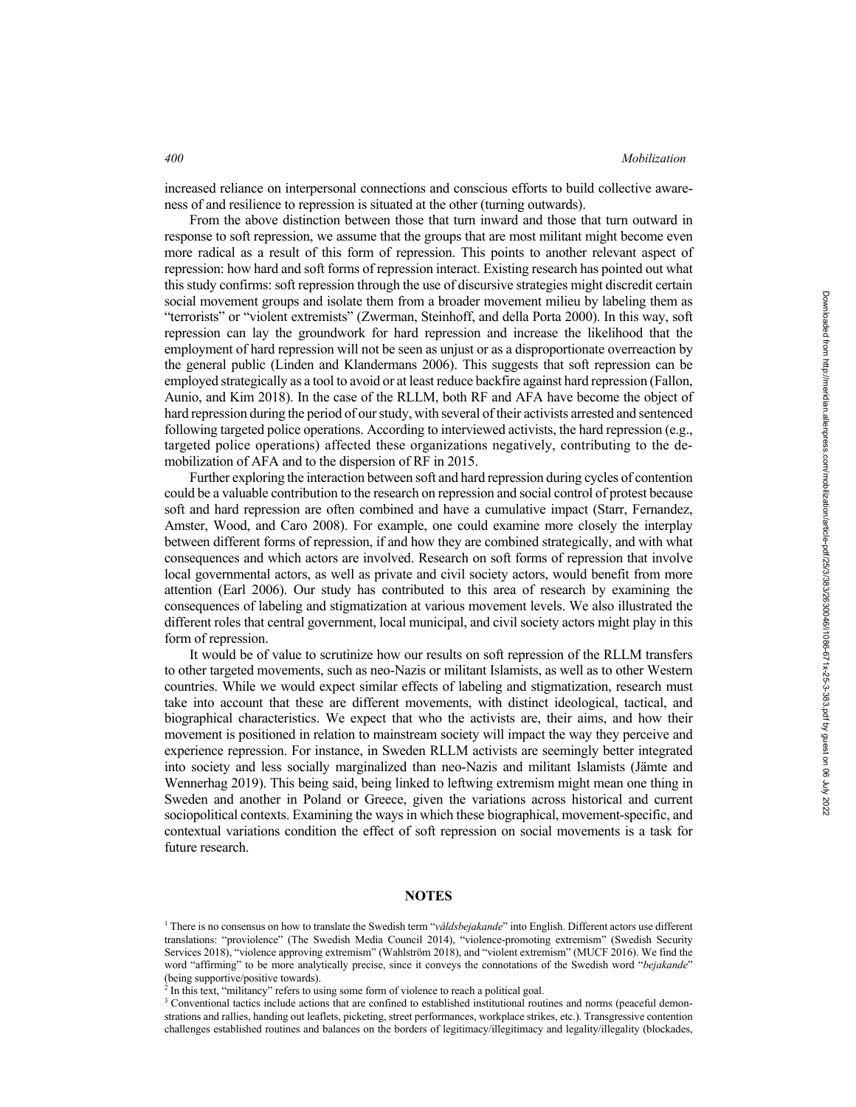increased reliance on interpersonal connections and conscious efforts to build collective awareness of and resilience to repression is situated at the other (turning outwards).

From the above distinction between those that turn inward and those that turn outward in response to soft repression, we assume that the groups that are most militant might become even more radical as a result of this form of repression. This points to another relevant aspect of repression: how hard and soft forms of repression interact. Existing research has pointed out what this study confirms: soft repression through the use of discursive strategies might discredit certain social movement groups and isolate them from a broader movement milieu by labeling them as "terrorists" or "violent extremists" (Zwerman, Steinhoff, and della Porta 2000). In this way, soft repression can lay the groundwork for hard repression and increase the likelihood that the employment of hard repression will not be seen as unjust or as a disproportionate overreaction by the general public (Linden and Klandermans 2006). This suggests that soft repression can be employed strategically as a tool to avoid or at least reduce backfire against hard repression (Fallon, Aunio, and Kim 2018). In the case of the RLLM, both RF and AFA have become the object of hard repression during the period of our study, with several of their activists arrested and sentenced following targeted police operations. According to interviewed activists, the hard repression (e.g., targeted police operations) affected these organizations negatively, contributing to the demobilization of AFA and to the dispersion of RF in 2015.

Further exploring the interaction between soft and hard repression during cycles of contention could be a valuable contribution to the research on repression and social control of protest because soft and hard repression are often combined and have a cumulative impact (Starr, Fernandez, Amster, Wood, and Caro 2008). For example, one could examine more closely the interplay between different forms of repression, if and how they are combined strategically, and with what consequences and which actors are involved. Research on soft forms of repression that involve local governmental actors, as well as private and civil society actors, would benefit from more attention (Earl 2006). Our study has contributed to this area of research by examining the consequences of labeling and stigmatization at various movement levels. We also illustrated the different roles that central government, local municipal, and civil society actors might play in this form of repression.

It would be of value to scrutinize how our results on soft repression of the RLLM transfers to other targeted movements, such as neo-Nazis or militant Islamists, as well as to other Western countries. While we would expect similar effects of labeling and stigmatization, research must take into account that these are different movements, with distinct ideological, tactical, and biographical characteristics. We expect that who the activists are, their aims, and how their movement is positioned in relation to mainstream society will impact the way they perceive and experience repression. For instance, in Sweden RLLM activists are seemingly better integrated into society and less socially marginalized than neo-Nazis and militant Islamists (Jämte and Wennerhag 2019). This being said, being linked to leftwing extremism might mean one thing in Sweden and another in Poland or Greece, given the variations across historical and current sociopolitical contexts. Examining the ways in which these biographical, movement-specific, and contextual variations condition the effect of soft repression on social movements is a task for future research.

## **NOTES**

<sup>1</sup> There is no consensus on how to translate the Swedish term "*våldsbejakande*" into English. Different actors use different translations: "proviolence" (The Swedish Media Council 2014), "violence-promoting extremism" (Swedish Security Services 2018), "violence approving extremism" (Wahlström 2018), and "violent extremism" (MUCF 2016). We find the word "affirming" to be more analytically precise, since it conveys the connotations of the Swedish word "*bejakande*" (being supportive/positive towards). 2 In this text, "militancy" refers to using some form of violence to reach a political goal.

<sup>&</sup>lt;sup>3</sup> Conventional tactics include actions that are confined to established institutional routines and norms (peaceful demonstrations and rallies, handing out leaflets, picketing, street performances, workplace strikes, etc.). Transgressive contention challenges established routines and balances on the borders of legitimacy/illegitimacy and legality/illegality (blockades,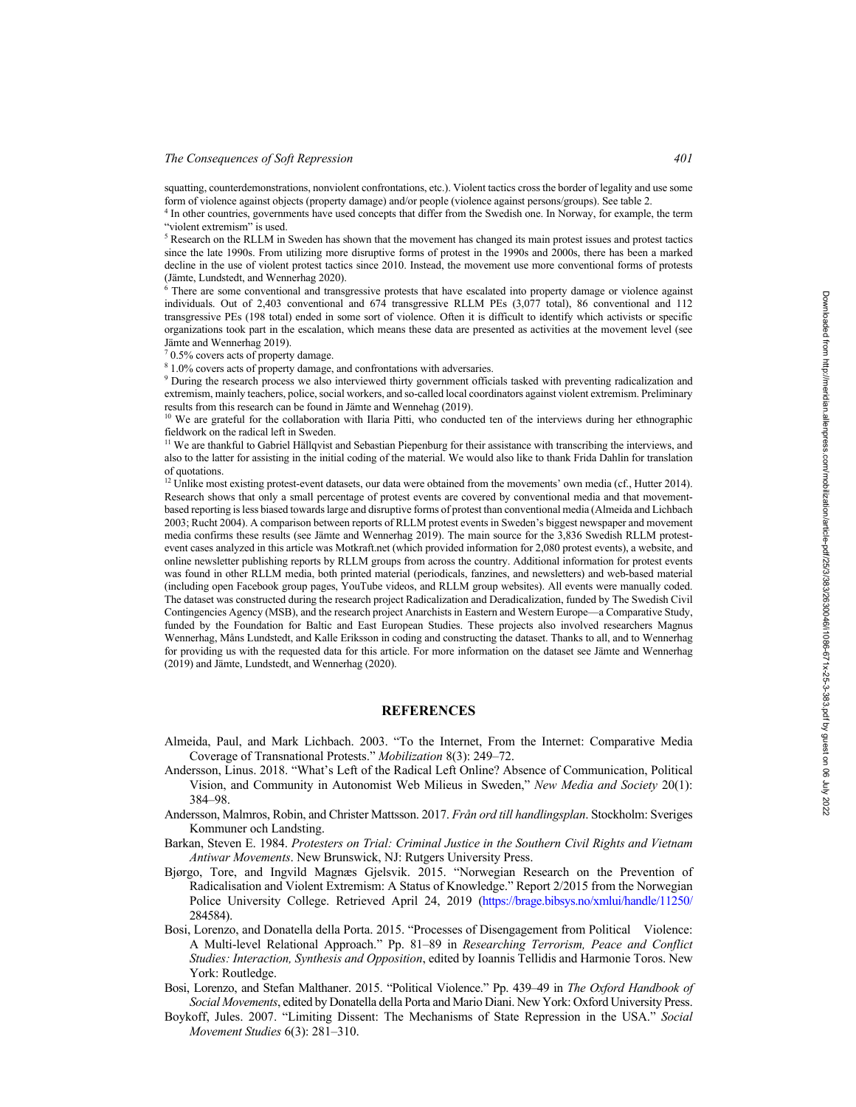#### *The Consequences of Soft Repression 401*

squatting, counterdemonstrations, nonviolent confrontations, etc.). Violent tactics cross the border of legality and use some form of violence against objects (property damage) and/or people (violence against persons/groups). See table 2.

<sup>4</sup> In other countries, governments have used concepts that differ from the Swedish one. In Norway, for example, the term "violent extremism" is used.

<sup>5</sup> Research on the RLLM in Sweden has shown that the movement has changed its main protest issues and protest tactics since the late 1990s. From utilizing more disruptive forms of protest in the 1990s and 2000s, there has been a marked decline in the use of violent protest tactics since 2010. Instead, the movement use more conventional forms of protests (Jämte, Lundstedt, and Wennerhag 2020).

<sup>6</sup> There are some conventional and transgressive protests that have escalated into property damage or violence against individuals. Out of 2,403 conventional and 674 transgressive RLLM PEs (3,077 total), 86 conventional and 112 transgressive PEs (198 total) ended in some sort of violence. Often it is difficult to identify which activists or specific organizations took part in the escalation, which means these data are presented as activities at the movement level (see Jämte and Wennerhag 2019).

 $70.5\%$  covers acts of property damage.

 $81.0\%$  covers acts of property damage, and confrontations with adversaries.

<sup>9</sup> During the research process we also interviewed thirty government officials tasked with preventing radicalization and extremism, mainly teachers, police, social workers, and so-called local coordinators against violent extremism. Preliminary results from this research can be found in Jämte and Wennehag (2019).

<sup>10</sup> We are grateful for the collaboration with Ilaria Pitti, who conducted ten of the interviews during her ethnographic fieldwork on the radical left in Sweden.

<sup>11</sup> We are thankful to Gabriel Hällqvist and Sebastian Piepenburg for their assistance with transcribing the interviews, and also to the latter for assisting in the initial coding of the material. We would also like to thank Frida Dahlin for translation of quotations.

 $12$  Unlike most existing protest-event datasets, our data were obtained from the movements' own media (cf., Hutter 2014). Research shows that only a small percentage of protest events are covered by conventional media and that movementbased reporting is less biased towards large and disruptive forms of protest than conventional media (Almeida and Lichbach 2003; Rucht 2004). A comparison between reports of RLLM protest events in Sweden's biggest newspaper and movement media confirms these results (see Jämte and Wennerhag 2019). The main source for the 3,836 Swedish RLLM protestevent cases analyzed in this article was Motkraft.net (which provided information for 2,080 protest events), a website, and online newsletter publishing reports by RLLM groups from across the country. Additional information for protest events was found in other RLLM media, both printed material (periodicals, fanzines, and newsletters) and web-based material (including open Facebook group pages, YouTube videos, and RLLM group websites). All events were manually coded. The dataset was constructed during the research project Radicalization and Deradicalization, funded by The Swedish Civil Contingencies Agency (MSB), and the research project Anarchists in Eastern and Western Europe—a Comparative Study, funded by the Foundation for Baltic and East European Studies. These projects also involved researchers Magnus Wennerhag, Måns Lundstedt, and Kalle Eriksson in coding and constructing the dataset. Thanks to all, and to Wennerhag for providing us with the requested data for this article. For more information on the dataset see Jämte and Wennerhag (2019) and Jämte, Lundstedt, and Wennerhag (2020).

### **REFERENCES**

- Almeida, Paul, and Mark Lichbach. 2003. "To the Internet, From the Internet: Comparative Media Coverage of Transnational Protests." *Mobilization* 8(3): 249–72.
- Andersson, Linus. 2018. "What's Left of the Radical Left Online? Absence of Communication, Political Vision, and Community in Autonomist Web Milieus in Sweden," *New Media and Society* 20(1): 384–98.
- Andersson, Malmros, Robin, and Christer Mattsson. 2017. *Från ord till handlingsplan*. Stockholm: Sveriges Kommuner och Landsting.
- Barkan, Steven E. 1984. *Protesters on Trial: Criminal Justice in the Southern Civil Rights and Vietnam Antiwar Movements*. New Brunswick, NJ: Rutgers University Press.
- Bjørgo, Tore, and Ingvild Magnæs Gjelsvik. 2015. "Norwegian Research on the Prevention of Radicalisation and Violent Extremism: A Status of Knowledge." Report 2/2015 from the Norwegian Police University College. Retrieved April 24, 2019 (https://brage.bibsys.no/xmlui/handle/11250/ 284584).
- Bosi, Lorenzo, and Donatella della Porta. 2015. "Processes of Disengagement from Political Violence: A Multi-level Relational Approach." Pp. 81–89 in *Researching Terrorism, Peace and Conflict Studies: Interaction, Synthesis and Opposition*, edited by Ioannis Tellidis and Harmonie Toros. New York: Routledge.
- Bosi, Lorenzo, and Stefan Malthaner. 2015. "Political Violence." Pp. 439–49 in *The Oxford Handbook of Social Movements*, edited by Donatella della Porta and Mario Diani. New York: Oxford University Press.
- Boykoff, Jules. 2007. "Limiting Dissent: The Mechanisms of State Repression in the USA." *Social Movement Studies* 6(3): 281–310.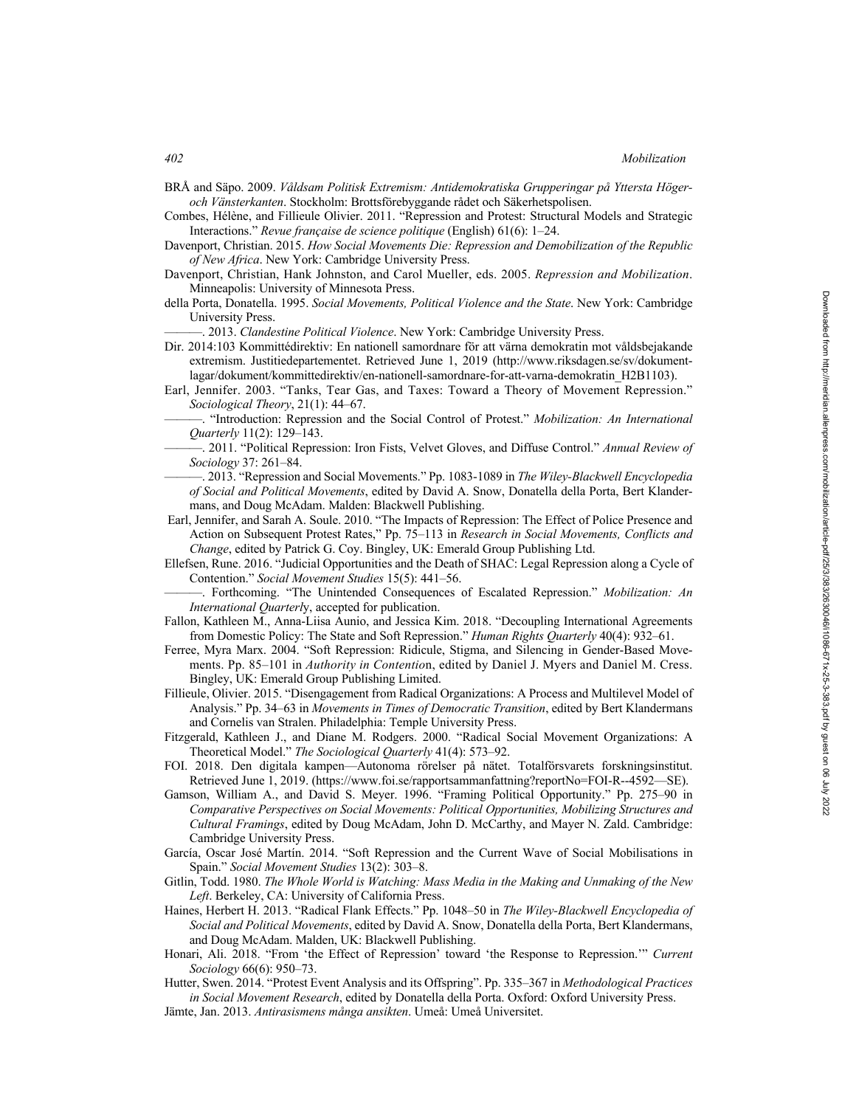BRÅ and Säpo. 2009. *Våldsam Politisk Extremism: Antidemokratiska Grupperingar på Yttersta Högeroch Vänsterkanten*. Stockholm: Brottsförebyggande rådet och Säkerhetspolisen.

Combes, Hélène, and Fillieule Olivier. 2011. "Repression and Protest: Structural Models and Strategic Interactions." *Revue française de science politique* (English) 61(6): 1–24.

- Davenport, Christian. 2015. *How Social Movements Die: Repression and Demobilization of the Republic of New Africa*. New York: Cambridge University Press.
- Davenport, Christian, Hank Johnston, and Carol Mueller, eds. 2005. *Repression and Mobilization*. Minneapolis: University of Minnesota Press.
- della Porta, Donatella. 1995. *Social Movements, Political Violence and the State*. New York: Cambridge University Press.

———. 2013. *Clandestine Political Violence*. New York: Cambridge University Press.

- Dir. 2014:103 Kommittédirektiv: En nationell samordnare för att värna demokratin mot våldsbejakande extremism. Justitiedepartementet. Retrieved June 1, 2019 (http://www.riksdagen.se/sv/dokumentlagar/dokument/kommittedirektiv/en-nationell-samordnare-for-att-varna-demokratin\_H2B1103).
- Earl, Jennifer. 2003. "Tanks, Tear Gas, and Taxes: Toward a Theory of Movement Repression." *Sociological Theory*, 21(1): 44–67.
	- ———. "Introduction: Repression and the Social Control of Protest." *Mobilization: An International Quarterly* 11(2): 129–143.
- ———. 2011. "Political Repression: Iron Fists, Velvet Gloves, and Diffuse Control." *Annual Review of Sociology* 37: 261–84.
- ———. 2013. "Repression and Social Movements." Pp. 1083-1089 in *The Wiley-Blackwell Encyclopedia of Social and Political Movements*, edited by David A. Snow, Donatella della Porta, Bert Klandermans, and Doug McAdam. Malden: Blackwell Publishing.
- Earl, Jennifer, and Sarah A. Soule. 2010. "The Impacts of Repression: The Effect of Police Presence and Action on Subsequent Protest Rates," Pp. 75–113 in *Research in Social Movements, Conflicts and Change*, edited by Patrick G. Coy. Bingley, UK: Emerald Group Publishing Ltd.
- Ellefsen, Rune. 2016. "Judicial Opportunities and the Death of SHAC: Legal Repression along a Cycle of Contention." *Social Movement Studies* 15(5): 441–56.
- ———. Forthcoming. "The Unintended Consequences of Escalated Repression." *Mobilization: An International Quarterl*y, accepted for publication.
- Fallon, Kathleen M., Anna-Liisa Aunio, and Jessica Kim. 2018. "Decoupling International Agreements from Domestic Policy: The State and Soft Repression." *Human Rights Quarterly* 40(4): 932–61.
- Ferree, Myra Marx. 2004. "Soft Repression: Ridicule, Stigma, and Silencing in Gender-Based Movements. Pp. 85–101 in *Authority in Contentio*n, edited by Daniel J. Myers and Daniel M. Cress. Bingley, UK: Emerald Group Publishing Limited.
- Fillieule, Olivier. 2015. "Disengagement from Radical Organizations: A Process and Multilevel Model of Analysis." Pp. 34–63 in *Movements in Times of Democratic Transition*, edited by Bert Klandermans and Cornelis van Stralen. Philadelphia: Temple University Press.
- Fitzgerald, Kathleen J., and Diane M. Rodgers. 2000. "Radical Social Movement Organizations: A Theoretical Model." *The Sociological Quarterly* 41(4): 573–92.
- FOI. 2018. Den digitala kampen—Autonoma rörelser på nätet. Totalförsvarets forskningsinstitut. Retrieved June 1, 2019. (https://www.foi.se/rapportsammanfattning?reportNo=FOI-R--4592—SE).
- Gamson, William A., and David S. Meyer. 1996. "Framing Political Opportunity." Pp. 275–90 in *Comparative Perspectives on Social Movements: Political Opportunities, Mobilizing Structures and Cultural Framings*, edited by Doug McAdam, John D. McCarthy, and Mayer N. Zald. Cambridge: Cambridge University Press.
- García, Oscar José Martín. 2014. "Soft Repression and the Current Wave of Social Mobilisations in Spain." *Social Movement Studies* 13(2): 303–8.
- Gitlin, Todd. 1980. *The Whole World is Watching: Mass Media in the Making and Unmaking of the New Left*. Berkeley, CA: University of California Press.
- Haines, Herbert H. 2013. "Radical Flank Effects." Pp. 1048–50 in *The Wiley-Blackwell Encyclopedia of Social and Political Movements*, edited by David A. Snow, Donatella della Porta, Bert Klandermans, and Doug McAdam. Malden, UK: Blackwell Publishing.
- Honari, Ali. 2018. "From 'the Effect of Repression' toward 'the Response to Repression.'" *Current Sociology* 66(6): 950–73.
- Hutter, Swen. 2014. "Protest Event Analysis and its Offspring". Pp. 335–367 in *Methodological Practices in Social Movement Research*, edited by Donatella della Porta. Oxford: Oxford University Press.
- Jämte, Jan. 2013. *Antirasismens många ansikten*. Umeå: Umeå Universitet.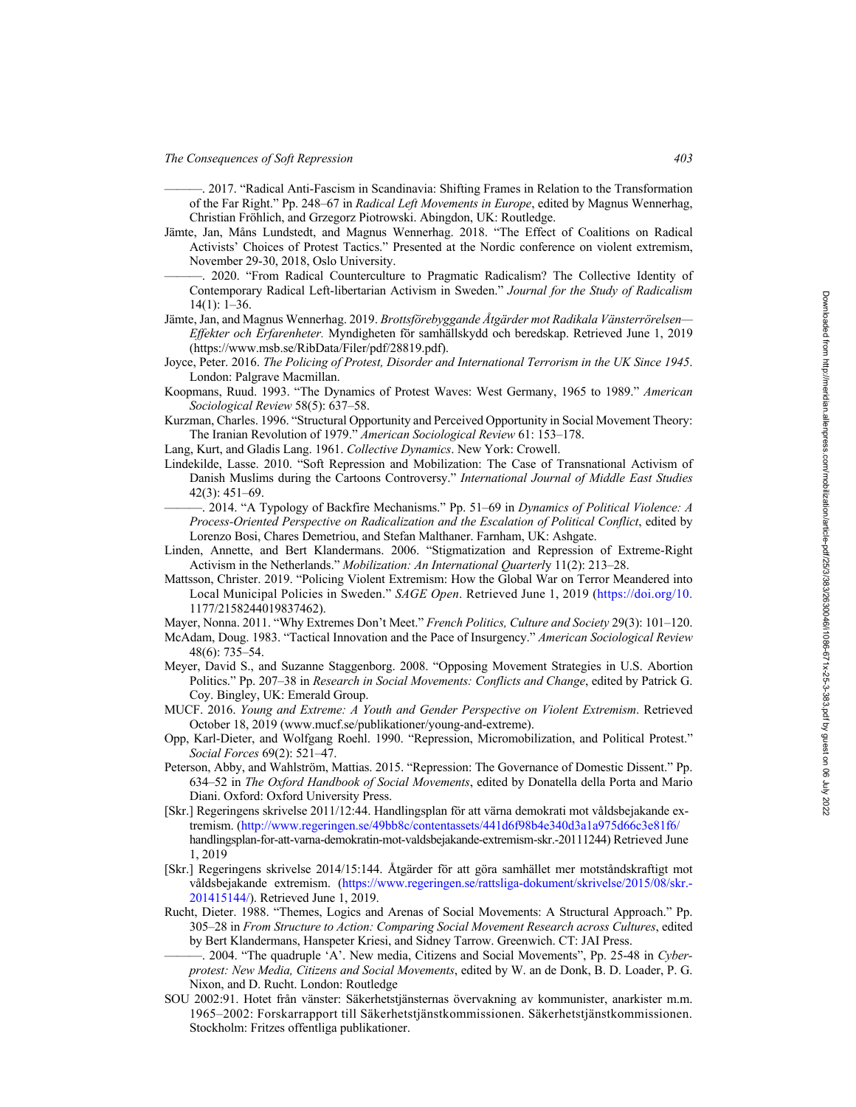- ———. 2017. "Radical Anti-Fascism in Scandinavia: Shifting Frames in Relation to the Transformation of the Far Right." Pp. 248–67 in *Radical Left Movements in Europe*, edited by Magnus Wennerhag, Christian Fröhlich, and Grzegorz Piotrowski. Abingdon, UK: Routledge.
- Jämte, Jan, Måns Lundstedt, and Magnus Wennerhag. 2018. "The Effect of Coalitions on Radical Activists' Choices of Protest Tactics." Presented at the Nordic conference on violent extremism, November 29-30, 2018, Oslo University.
- ———. 2020. "From Radical Counterculture to Pragmatic Radicalism? The Collective Identity of Contemporary Radical Left-libertarian Activism in Sweden." *Journal for the Study of Radicalism* 14(1): 1–36.
- Jämte, Jan, and Magnus Wennerhag. 2019. *Brottsförebyggande Åtgärder mot Radikala Vänsterrörelsen— Effekter och Erfarenheter.* Myndigheten för samhällskydd och beredskap. Retrieved June 1, 2019 (https://www.msb.se/RibData/Filer/pdf/28819.pdf).
- Joyce, Peter. 2016. *The Policing of Protest, Disorder and International Terrorism in the UK Since 1945*. London: Palgrave Macmillan.
- Koopmans, Ruud. 1993. "The Dynamics of Protest Waves: West Germany, 1965 to 1989." *American Sociological Review* 58(5): 637–58.
- Kurzman, Charles. 1996. "Structural Opportunity and Perceived Opportunity in Social Movement Theory: The Iranian Revolution of 1979." *American Sociological Review* 61: 153–178.
- Lang, Kurt, and Gladis Lang. 1961. *Collective Dynamics*. New York: Crowell.
- Lindekilde, Lasse. 2010. "Soft Repression and Mobilization: The Case of Transnational Activism of Danish Muslims during the Cartoons Controversy." *International Journal of Middle East Studies* 42(3): 451–69.
	- ———. 2014. "A Typology of Backfire Mechanisms." Pp. 51–69 in *Dynamics of Political Violence: A Process-Oriented Perspective on Radicalization and the Escalation of Political Conflict*, edited by Lorenzo Bosi, Chares Demetriou, and Stefan Malthaner. Farnham, UK: Ashgate.
- Linden, Annette, and Bert Klandermans. 2006. "Stigmatization and Repression of Extreme-Right Activism in the Netherlands." *Mobilization: An International Quarterl*y 11(2): 213–28.
- Mattsson, Christer. 2019. "Policing Violent Extremism: How the Global War on Terror Meandered into Local Municipal Policies in Sweden." *SAGE Open*. Retrieved June 1, 2019 (https://doi.org/10. 1177/2158244019837462).
- Mayer, Nonna. 2011. "Why Extremes Don't Meet." *French Politics, Culture and Society* 29(3): 101–120.
- McAdam, Doug. 1983. "Tactical Innovation and the Pace of Insurgency." *American Sociological Review* 48(6): 735–54.
- Meyer, David S., and Suzanne Staggenborg. 2008. "Opposing Movement Strategies in U.S. Abortion Politics." Pp. 207–38 in *Research in Social Movements: Conflicts and Change*, edited by Patrick G. Coy. Bingley, UK: Emerald Group.
- MUCF. 2016. *Young and Extreme: A Youth and Gender Perspective on Violent Extremism*. Retrieved October 18, 2019 (www.mucf.se/publikationer/young-and-extreme).
- Opp, Karl-Dieter, and Wolfgang Roehl. 1990. "Repression, Micromobilization, and Political Protest." *Social Forces* 69(2): 521–47.
- Peterson, Abby, and Wahlström, Mattias. 2015. "Repression: The Governance of Domestic Dissent." Pp. 634–52 in *The Oxford Handbook of Social Movements*, edited by Donatella della Porta and Mario Diani. Oxford: Oxford University Press.
- [Skr.] Regeringens skrivelse 2011/12:44. Handlingsplan för att värna demokrati mot våldsbejakande extremism. (http://www.regeringen.se/49bb8c/contentassets/441d6f98b4e340d3a1a975d66c3e81f6/ handlingsplan-for-att-varna-demokratin-mot-valdsbejakande-extremism-skr.-20111244) Retrieved June 1, 2019
- [Skr.] Regeringens skrivelse 2014/15:144. Åtgärder för att göra samhället mer motståndskraftigt mot våldsbejakande extremism. (https://www.regeringen.se/rattsliga-dokument/skrivelse/2015/08/skr.- 201415144/). Retrieved June 1, 2019.
- Rucht, Dieter. 1988. "Themes, Logics and Arenas of Social Movements: A Structural Approach." Pp. 305–28 in *From Structure to Action: Comparing Social Movement Research across Cultures*, edited by Bert Klandermans, Hanspeter Kriesi, and Sidney Tarrow. Greenwich. CT: JAI Press.
- ———. 2004. "The quadruple 'A'. New media, Citizens and Social Movements", Pp. 25-48 in *Cyberprotest: New Media, Citizens and Social Movements*, edited by W. an de Donk, B. D. Loader, P. G. Nixon, and D. Rucht. London: Routledge
- SOU 2002:91. Hotet från vänster: Säkerhetstjänsternas övervakning av kommunister, anarkister m.m. 1965–2002: Forskarrapport till Säkerhetstjänstkommissionen. Säkerhetstjänstkommissionen. Stockholm: Fritzes offentliga publikationer.